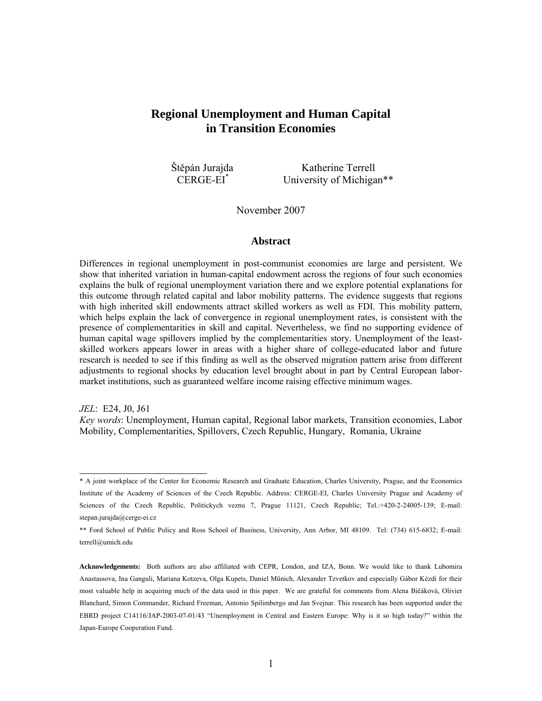# **Regional Unemployment and Human Capital in Transition Economies**

Štěpán Jurajda Katherine Terrell CERGE-EI\*

University of Michigan\*\*

November 2007

#### **Abstract**

Differences in regional unemployment in post-communist economies are large and persistent. We show that inherited variation in human-capital endowment across the regions of four such economies explains the bulk of regional unemployment variation there and we explore potential explanations for this outcome through related capital and labor mobility patterns. The evidence suggests that regions with high inherited skill endowments attract skilled workers as well as FDI. This mobility pattern, which helps explain the lack of convergence in regional unemployment rates, is consistent with the presence of complementarities in skill and capital. Nevertheless, we find no supporting evidence of human capital wage spillovers implied by the complementarities story. Unemployment of the leastskilled workers appears lower in areas with a higher share of college-educated labor and future research is needed to see if this finding as well as the observed migration pattern arise from different adjustments to regional shocks by education level brought about in part by Central European labormarket institutions, such as guaranteed welfare income raising effective minimum wages.

*JEL*: E24, J0, J61

*Key words*: Unemployment, Human capital, Regional labor markets, Transition economies, Labor Mobility, Complementarities, Spillovers, Czech Republic, Hungary, Romania, Ukraine

<sup>\*</sup> A joint workplace of the Center for Economic Research and Graduate Education, Charles University, Prague, and the Economics Institute of the Academy of Sciences of the Czech Republic. Address: CERGE-EI, Charles University Prague and Academy of Sciences of the Czech Republic, Politickych veznu 7, Prague 11121, Czech Republic; Tel.:+420-2-24005-139; E-mail: stepan.jurajda@cerge-ei.cz

<sup>\*\*</sup> Ford School of Public Policy and Ross School of Business, University, Ann Arbor, MI 48109. Tel: (734) 615-6832; E-mail: terrell@umich.edu

**Acknowledgements:** Both authors are also affiliated with CEPR, London, and IZA, Bonn. We would like to thank Lubomira Anastassova, Ina Ganguli, Mariana Kotzeva, Olga Kupets, Daniel Münich, Alexander Tzvetkov and especially Gábor Kézdi for their most valuable help in acquiring much of the data used in this paper. We are grateful for comments from Alena Bičáková, Olivier Blanchard, Simon Commander, Richard Freeman, Antonio Spilimbergo and Jan Svejnar. This research has been supported under the EBRD project C14116/JAP-2003-07-01/43 "Unemployment in Central and Eastern Europe: Why is it so high today?" within the Japan-Europe Cooperation Fund.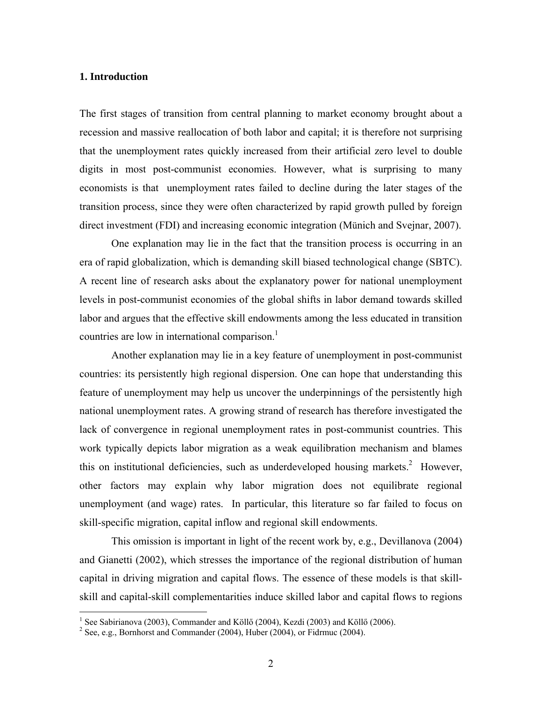# **1. Introduction**

The first stages of transition from central planning to market economy brought about a recession and massive reallocation of both labor and capital; it is therefore not surprising that the unemployment rates quickly increased from their artificial zero level to double digits in most post-communist economies. However, what is surprising to many economists is that unemployment rates failed to decline during the later stages of the transition process, since they were often characterized by rapid growth pulled by foreign direct investment (FDI) and increasing economic integration (Münich and Svejnar, 2007).

One explanation may lie in the fact that the transition process is occurring in an era of rapid globalization, which is demanding skill biased technological change (SBTC). A recent line of research asks about the explanatory power for national unemployment levels in post-communist economies of the global shifts in labor demand towards skilled labor and argues that the effective skill endowments among the less educated in transition countries are low in international comparison.<sup>1</sup>

Another explanation may lie in a key feature of unemployment in post-communist countries: its persistently high regional dispersion. One can hope that understanding this feature of unemployment may help us uncover the underpinnings of the persistently high national unemployment rates. A growing strand of research has therefore investigated the lack of convergence in regional unemployment rates in post-communist countries. This work typically depicts labor migration as a weak equilibration mechanism and blames this on institutional deficiencies, such as underdeveloped housing markets.<sup>2</sup> However, other factors may explain why labor migration does not equilibrate regional unemployment (and wage) rates. In particular, this literature so far failed to focus on skill-specific migration, capital inflow and regional skill endowments.

This omission is important in light of the recent work by, e.g., Devillanova (2004) and Gianetti (2002), which stresses the importance of the regional distribution of human capital in driving migration and capital flows. The essence of these models is that skillskill and capital-skill complementarities induce skilled labor and capital flows to regions

<sup>&</sup>lt;sup>1</sup> See Sabirianova (2003), Commander and Köllő (2004), Kezdi (2003) and Köllő (2006).

<sup>&</sup>lt;sup>2</sup> See, e.g., Bornhorst and Commander (2004), Huber (2004), or Fidrmuc (2004).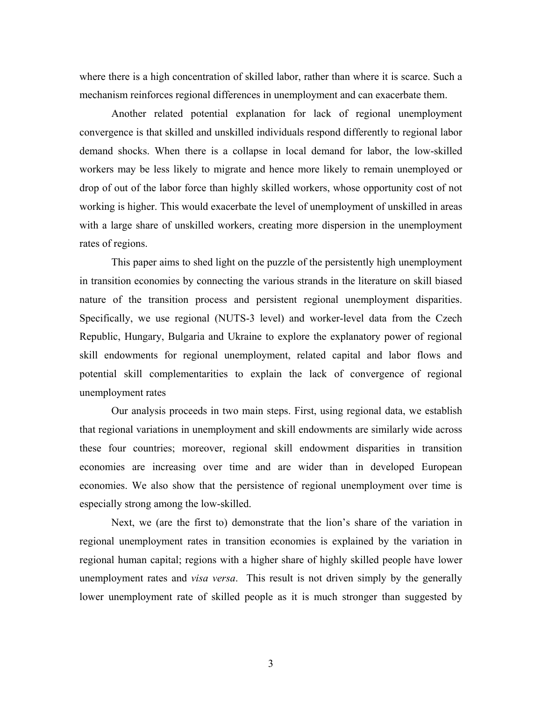where there is a high concentration of skilled labor, rather than where it is scarce. Such a mechanism reinforces regional differences in unemployment and can exacerbate them.

Another related potential explanation for lack of regional unemployment convergence is that skilled and unskilled individuals respond differently to regional labor demand shocks. When there is a collapse in local demand for labor, the low-skilled workers may be less likely to migrate and hence more likely to remain unemployed or drop of out of the labor force than highly skilled workers, whose opportunity cost of not working is higher. This would exacerbate the level of unemployment of unskilled in areas with a large share of unskilled workers, creating more dispersion in the unemployment rates of regions.

This paper aims to shed light on the puzzle of the persistently high unemployment in transition economies by connecting the various strands in the literature on skill biased nature of the transition process and persistent regional unemployment disparities. Specifically, we use regional (NUTS-3 level) and worker-level data from the Czech Republic, Hungary, Bulgaria and Ukraine to explore the explanatory power of regional skill endowments for regional unemployment, related capital and labor flows and potential skill complementarities to explain the lack of convergence of regional unemployment rates

Our analysis proceeds in two main steps. First, using regional data, we establish that regional variations in unemployment and skill endowments are similarly wide across these four countries; moreover, regional skill endowment disparities in transition economies are increasing over time and are wider than in developed European economies. We also show that the persistence of regional unemployment over time is especially strong among the low-skilled.

Next, we (are the first to) demonstrate that the lion's share of the variation in regional unemployment rates in transition economies is explained by the variation in regional human capital; regions with a higher share of highly skilled people have lower unemployment rates and *visa versa*. This result is not driven simply by the generally lower unemployment rate of skilled people as it is much stronger than suggested by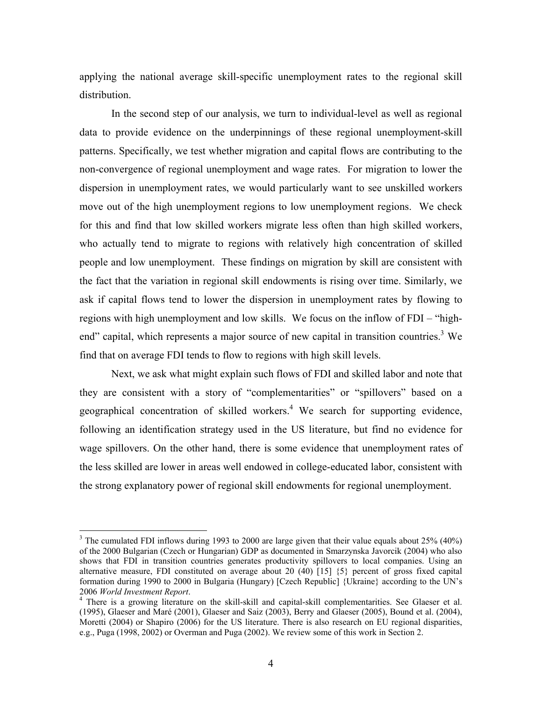applying the national average skill-specific unemployment rates to the regional skill distribution.

In the second step of our analysis, we turn to individual-level as well as regional data to provide evidence on the underpinnings of these regional unemployment-skill patterns. Specifically, we test whether migration and capital flows are contributing to the non-convergence of regional unemployment and wage rates. For migration to lower the dispersion in unemployment rates, we would particularly want to see unskilled workers move out of the high unemployment regions to low unemployment regions. We check for this and find that low skilled workers migrate less often than high skilled workers, who actually tend to migrate to regions with relatively high concentration of skilled people and low unemployment. These findings on migration by skill are consistent with the fact that the variation in regional skill endowments is rising over time. Similarly, we ask if capital flows tend to lower the dispersion in unemployment rates by flowing to regions with high unemployment and low skills. We focus on the inflow of FDI – "highend" capital, which represents a major source of new capital in transition countries.<sup>3</sup> We find that on average FDI tends to flow to regions with high skill levels.

Next, we ask what might explain such flows of FDI and skilled labor and note that they are consistent with a story of "complementarities" or "spillovers" based on a geographical concentration of skilled workers.<sup>4</sup> We search for supporting evidence, following an identification strategy used in the US literature, but find no evidence for wage spillovers. On the other hand, there is some evidence that unemployment rates of the less skilled are lower in areas well endowed in college-educated labor, consistent with the strong explanatory power of regional skill endowments for regional unemployment.

<sup>&</sup>lt;sup>3</sup> The cumulated FDI inflows during 1993 to 2000 are large given that their value equals about 25% (40%) of the 2000 Bulgarian (Czech or Hungarian) GDP as documented in Smarzynska Javorcik (2004) who also shows that FDI in transition countries generates productivity spillovers to local companies. Using an alternative measure, FDI constituted on average about 20 (40) [15] {5} percent of gross fixed capital formation during 1990 to 2000 in Bulgaria (Hungary) [Czech Republic] {Ukraine} according to the UN's <sup>2006</sup>*World Investment Report*. 4 There is a growing literature on the skill-skill and capital-skill complementarities. See Glaeser et al.

<sup>(1995),</sup> Glaeser and Maré (2001), Glaeser and Saiz (2003), Berry and Glaeser (2005), Bound et al. (2004), Moretti (2004) or Shapiro (2006) for the US literature. There is also research on EU regional disparities, e.g., Puga (1998, 2002) or Overman and Puga (2002). We review some of this work in Section 2.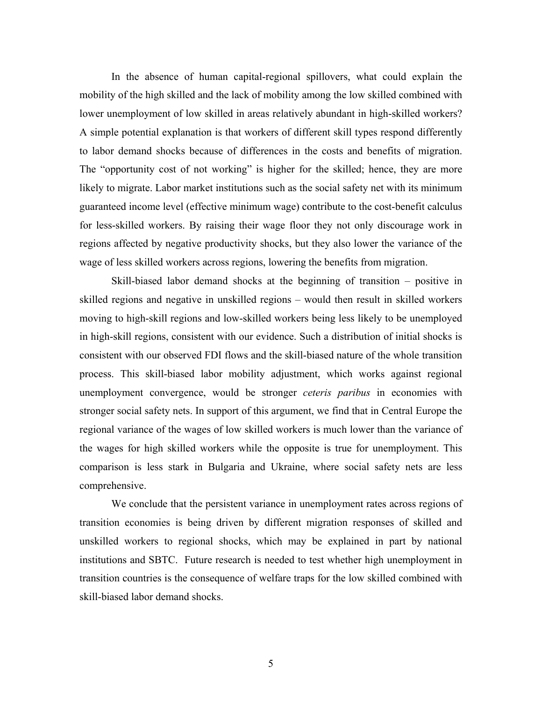In the absence of human capital-regional spillovers, what could explain the mobility of the high skilled and the lack of mobility among the low skilled combined with lower unemployment of low skilled in areas relatively abundant in high-skilled workers? A simple potential explanation is that workers of different skill types respond differently to labor demand shocks because of differences in the costs and benefits of migration. The "opportunity cost of not working" is higher for the skilled; hence, they are more likely to migrate. Labor market institutions such as the social safety net with its minimum guaranteed income level (effective minimum wage) contribute to the cost-benefit calculus for less-skilled workers. By raising their wage floor they not only discourage work in regions affected by negative productivity shocks, but they also lower the variance of the wage of less skilled workers across regions, lowering the benefits from migration.

Skill-biased labor demand shocks at the beginning of transition – positive in skilled regions and negative in unskilled regions – would then result in skilled workers moving to high-skill regions and low-skilled workers being less likely to be unemployed in high-skill regions, consistent with our evidence. Such a distribution of initial shocks is consistent with our observed FDI flows and the skill-biased nature of the whole transition process. This skill-biased labor mobility adjustment, which works against regional unemployment convergence, would be stronger *ceteris paribus* in economies with stronger social safety nets. In support of this argument, we find that in Central Europe the regional variance of the wages of low skilled workers is much lower than the variance of the wages for high skilled workers while the opposite is true for unemployment. This comparison is less stark in Bulgaria and Ukraine, where social safety nets are less comprehensive.

We conclude that the persistent variance in unemployment rates across regions of transition economies is being driven by different migration responses of skilled and unskilled workers to regional shocks, which may be explained in part by national institutions and SBTC. Future research is needed to test whether high unemployment in transition countries is the consequence of welfare traps for the low skilled combined with skill-biased labor demand shocks.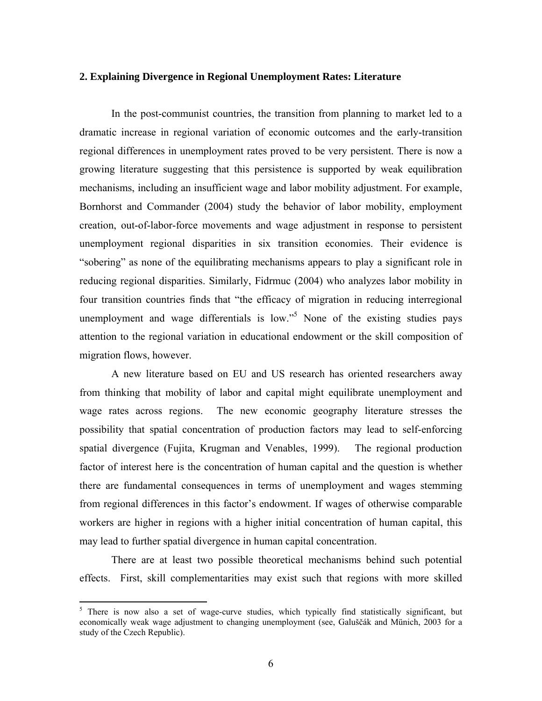# **2. Explaining Divergence in Regional Unemployment Rates: Literature**

In the post-communist countries, the transition from planning to market led to a dramatic increase in regional variation of economic outcomes and the early-transition regional differences in unemployment rates proved to be very persistent. There is now a growing literature suggesting that this persistence is supported by weak equilibration mechanisms, including an insufficient wage and labor mobility adjustment. For example, Bornhorst and Commander (2004) study the behavior of labor mobility, employment creation, out-of-labor-force movements and wage adjustment in response to persistent unemployment regional disparities in six transition economies. Their evidence is "sobering" as none of the equilibrating mechanisms appears to play a significant role in reducing regional disparities. Similarly, Fidrmuc (2004) who analyzes labor mobility in four transition countries finds that "the efficacy of migration in reducing interregional unemployment and wage differentials is low."<sup>5</sup> None of the existing studies pays attention to the regional variation in educational endowment or the skill composition of migration flows, however.

A new literature based on EU and US research has oriented researchers away from thinking that mobility of labor and capital might equilibrate unemployment and wage rates across regions. The new economic geography literature stresses the possibility that spatial concentration of production factors may lead to self-enforcing spatial divergence (Fujita, Krugman and Venables, 1999). The regional production factor of interest here is the concentration of human capital and the question is whether there are fundamental consequences in terms of unemployment and wages stemming from regional differences in this factor's endowment. If wages of otherwise comparable workers are higher in regions with a higher initial concentration of human capital, this may lead to further spatial divergence in human capital concentration.

There are at least two possible theoretical mechanisms behind such potential effects. First, skill complementarities may exist such that regions with more skilled

<sup>&</sup>lt;sup>5</sup> There is now also a set of wage-curve studies, which typically find statistically significant, but economically weak wage adjustment to changing unemployment (see, Galuščák and Münich, 2003 for a study of the Czech Republic).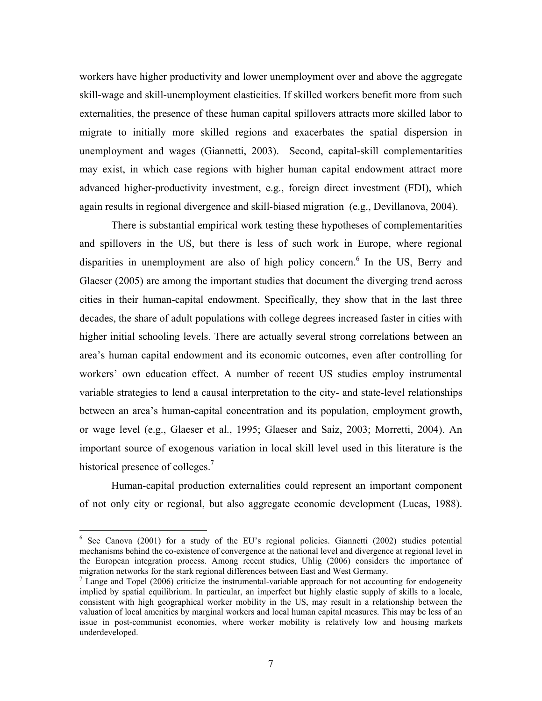workers have higher productivity and lower unemployment over and above the aggregate skill-wage and skill-unemployment elasticities. If skilled workers benefit more from such externalities, the presence of these human capital spillovers attracts more skilled labor to migrate to initially more skilled regions and exacerbates the spatial dispersion in unemployment and wages (Giannetti, 2003). Second, capital-skill complementarities may exist, in which case regions with higher human capital endowment attract more advanced higher-productivity investment, e.g., foreign direct investment (FDI), which again results in regional divergence and skill-biased migration (e.g., Devillanova, 2004).

There is substantial empirical work testing these hypotheses of complementarities and spillovers in the US, but there is less of such work in Europe, where regional disparities in unemployment are also of high policy concern.<sup>6</sup> In the US, Berry and Glaeser (2005) are among the important studies that document the diverging trend across cities in their human-capital endowment. Specifically, they show that in the last three decades, the share of adult populations with college degrees increased faster in cities with higher initial schooling levels. There are actually several strong correlations between an area's human capital endowment and its economic outcomes, even after controlling for workers' own education effect. A number of recent US studies employ instrumental variable strategies to lend a causal interpretation to the city- and state-level relationships between an area's human-capital concentration and its population, employment growth, or wage level (e.g., Glaeser et al., 1995; Glaeser and Saiz, 2003; Morretti, 2004). An important source of exogenous variation in local skill level used in this literature is the historical presence of colleges.<sup>7</sup>

Human-capital production externalities could represent an important component of not only city or regional, but also aggregate economic development (Lucas, 1988).

<sup>&</sup>lt;sup>6</sup> See Canova (2001) for a study of the EU's regional policies. Giannetti (2002) studies potential mechanisms behind the co-existence of convergence at the national level and divergence at regional level in the European integration process. Among recent studies, Uhlig (2006) considers the importance of migration networks for the stark regional differences between East and West Germany.

 $7$  Lange and Topel (2006) criticize the instrumental-variable approach for not accounting for endogeneity implied by spatial equilibrium. In particular, an imperfect but highly elastic supply of skills to a locale, consistent with high geographical worker mobility in the US, may result in a relationship between the valuation of local amenities by marginal workers and local human capital measures. This may be less of an issue in post-communist economies, where worker mobility is relatively low and housing markets underdeveloped.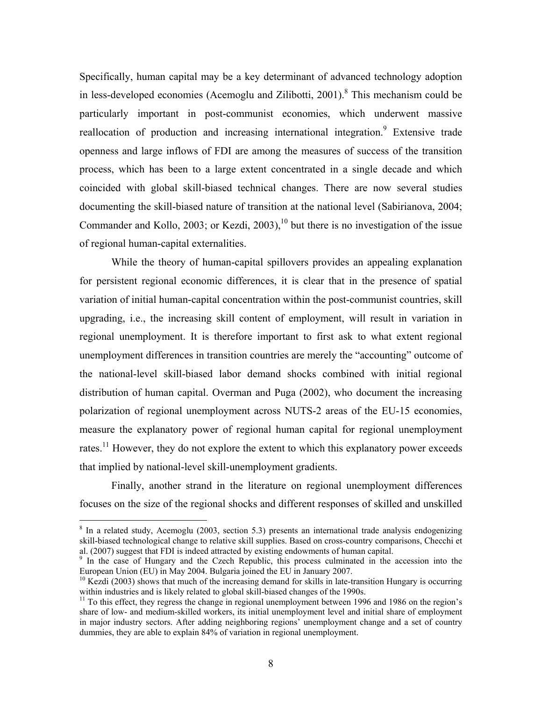Specifically, human capital may be a key determinant of advanced technology adoption in less-developed economies (Acemoglu and Zilibotti,  $2001$ ).<sup>8</sup> This mechanism could be particularly important in post-communist economies, which underwent massive reallocation of production and increasing international integration.<sup>9</sup> Extensive trade openness and large inflows of FDI are among the measures of success of the transition process, which has been to a large extent concentrated in a single decade and which coincided with global skill-biased technical changes. There are now several studies documenting the skill-biased nature of transition at the national level (Sabirianova, 2004; Commander and Kollo, 2003; or Kezdi, 2003),  $^{10}$  but there is no investigation of the issue of regional human-capital externalities.

While the theory of human-capital spillovers provides an appealing explanation for persistent regional economic differences, it is clear that in the presence of spatial variation of initial human-capital concentration within the post-communist countries, skill upgrading, i.e., the increasing skill content of employment, will result in variation in regional unemployment. It is therefore important to first ask to what extent regional unemployment differences in transition countries are merely the "accounting" outcome of the national-level skill-biased labor demand shocks combined with initial regional distribution of human capital. Overman and Puga (2002), who document the increasing polarization of regional unemployment across NUTS-2 areas of the EU-15 economies, measure the explanatory power of regional human capital for regional unemployment rates.<sup>11</sup> However, they do not explore the extent to which this explanatory power exceeds that implied by national-level skill-unemployment gradients.

Finally, another strand in the literature on regional unemployment differences focuses on the size of the regional shocks and different responses of skilled and unskilled

<sup>&</sup>lt;sup>8</sup> In a related study, Acemoglu (2003, section 5.3) presents an international trade analysis endogenizing skill-biased technological change to relative skill supplies. Based on cross-country comparisons, Checchi et al. (2007) suggest that FDI is indeed attracted by existing endowments of human capital.

<sup>&</sup>lt;sup>9</sup> In the case of Hungary and the Czech Republic, this process culminated in the accession into the European Union (EU) in May 2004. Bulgaria joined the EU in January 2007.

 $10$  Kezdi (2003) shows that much of the increasing demand for skills in late-transition Hungary is occurring within industries and is likely related to global skill-biased changes of the 1990s.

 $\frac{11}{11}$  To this effect, they regress the change in regional unemployment between 1996 and 1986 on the region's share of low- and medium-skilled workers, its initial unemployment level and initial share of employment in major industry sectors. After adding neighboring regions' unemployment change and a set of country dummies, they are able to explain 84% of variation in regional unemployment.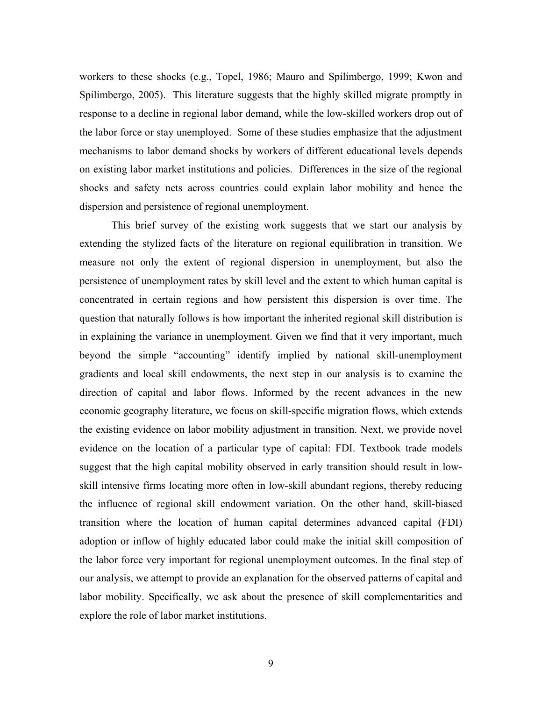workers to these shocks (e.g., Topel, 1986; Mauro and Spilimbergo, 1999; Kwon and Spilimbergo, 2005). This literature suggests that the highly skilled migrate promptly in response to a decline in regional labor demand, while the low-skilled workers drop out of the labor force or stay unemployed. Some of these studies emphasize that the adjustment mechanisms to labor demand shocks by workers of different educational levels depends on existing labor market institutions and policies. Differences in the size of the regional shocks and safety nets across countries could explain labor mobility and hence the dispersion and persistence of regional unemployment.

This brief survey of the existing work suggests that we start our analysis by extending the stylized facts of the literature on regional equilibration in transition. We measure not only the extent of regional dispersion in unemployment, but also the persistence of unemployment rates by skill level and the extent to which human capital is concentrated in certain regions and how persistent this dispersion is over time. The question that naturally follows is how important the inherited regional skill distribution is in explaining the variance in unemployment. Given we find that it very important, much beyond the simple "accounting" identify implied by national skill-unemployment gradients and local skill endowments, the next step in our analysis is to examine the direction of capital and labor flows. Informed by the recent advances in the new economic geography literature, we focus on skill-specific migration flows, which extends the existing evidence on labor mobility adjustment in transition. Next, we provide novel evidence on the location of a particular type of capital: FDI. Textbook trade models suggest that the high capital mobility observed in early transition should result in lowskill intensive firms locating more often in low-skill abundant regions, thereby reducing the influence of regional skill endowment variation. On the other hand, skill-biased transition where the location of human capital determines advanced capital (FDI) adoption or inflow of highly educated labor could make the initial skill composition of the labor force very important for regional unemployment outcomes. In the final step of our analysis, we attempt to provide an explanation for the observed patterns of capital and labor mobility. Specifically, we ask about the presence of skill complementarities and explore the role of labor market institutions.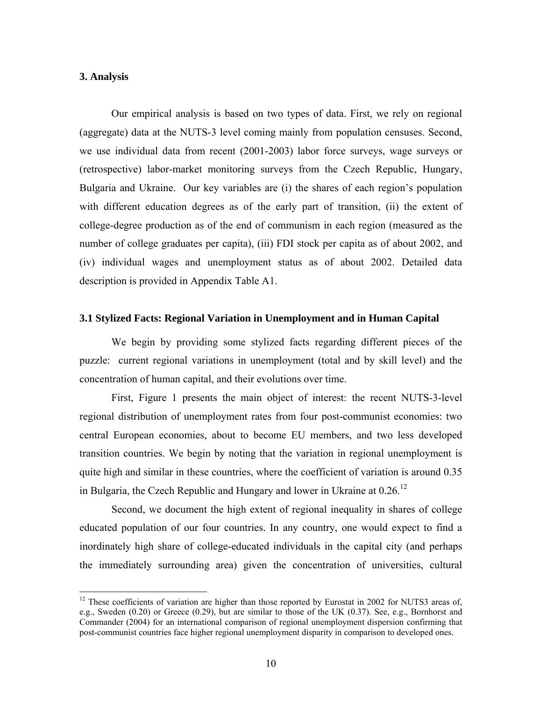#### **3. Analysis**

 $\overline{a}$ 

Our empirical analysis is based on two types of data. First, we rely on regional (aggregate) data at the NUTS-3 level coming mainly from population censuses. Second, we use individual data from recent (2001-2003) labor force surveys, wage surveys or (retrospective) labor-market monitoring surveys from the Czech Republic, Hungary, Bulgaria and Ukraine. Our key variables are (i) the shares of each region's population with different education degrees as of the early part of transition, (ii) the extent of college-degree production as of the end of communism in each region (measured as the number of college graduates per capita), (iii) FDI stock per capita as of about 2002, and (iv) individual wages and unemployment status as of about 2002. Detailed data description is provided in Appendix Table A1.

# **3.1 Stylized Facts: Regional Variation in Unemployment and in Human Capital**

We begin by providing some stylized facts regarding different pieces of the puzzle: current regional variations in unemployment (total and by skill level) and the concentration of human capital, and their evolutions over time.

First, Figure 1 presents the main object of interest: the recent NUTS-3-level regional distribution of unemployment rates from four post-communist economies: two central European economies, about to become EU members, and two less developed transition countries. We begin by noting that the variation in regional unemployment is quite high and similar in these countries, where the coefficient of variation is around 0.35 in Bulgaria, the Czech Republic and Hungary and lower in Ukraine at  $0.26$ <sup>12</sup>

Second, we document the high extent of regional inequality in shares of college educated population of our four countries. In any country, one would expect to find a inordinately high share of college-educated individuals in the capital city (and perhaps the immediately surrounding area) given the concentration of universities, cultural

 $12$  These coefficients of variation are higher than those reported by Eurostat in 2002 for NUTS3 areas of, e.g., Sweden (0.20) or Greece (0.29), but are similar to those of the UK (0.37). See, e.g., Bornhorst and Commander (2004) for an international comparison of regional unemployment dispersion confirming that post-communist countries face higher regional unemployment disparity in comparison to developed ones.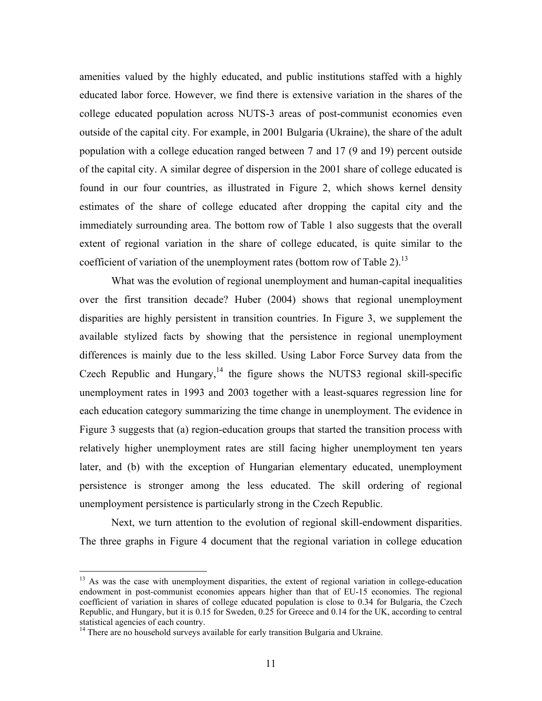amenities valued by the highly educated, and public institutions staffed with a highly educated labor force. However, we find there is extensive variation in the shares of the college educated population across NUTS-3 areas of post-communist economies even outside of the capital city. For example, in 2001 Bulgaria (Ukraine), the share of the adult population with a college education ranged between 7 and 17 (9 and 19) percent outside of the capital city. A similar degree of dispersion in the 2001 share of college educated is found in our four countries, as illustrated in Figure 2, which shows kernel density estimates of the share of college educated after dropping the capital city and the immediately surrounding area. The bottom row of Table 1 also suggests that the overall extent of regional variation in the share of college educated, is quite similar to the coefficient of variation of the unemployment rates (bottom row of Table 2).<sup>13</sup>

What was the evolution of regional unemployment and human-capital inequalities over the first transition decade? Huber (2004) shows that regional unemployment disparities are highly persistent in transition countries. In Figure 3, we supplement the available stylized facts by showing that the persistence in regional unemployment differences is mainly due to the less skilled. Using Labor Force Survey data from the Czech Republic and Hungary,  $14$  the figure shows the NUTS3 regional skill-specific unemployment rates in 1993 and 2003 together with a least-squares regression line for each education category summarizing the time change in unemployment. The evidence in Figure 3 suggests that (a) region-education groups that started the transition process with relatively higher unemployment rates are still facing higher unemployment ten years later, and (b) with the exception of Hungarian elementary educated, unemployment persistence is stronger among the less educated. The skill ordering of regional unemployment persistence is particularly strong in the Czech Republic.

Next, we turn attention to the evolution of regional skill-endowment disparities. The three graphs in Figure 4 document that the regional variation in college education

<sup>&</sup>lt;sup>13</sup> As was the case with unemployment disparities, the extent of regional variation in college-education endowment in post-communist economies appears higher than that of EU-15 economies. The regional coefficient of variation in shares of college educated population is close to 0.34 for Bulgaria, the Czech Republic, and Hungary, but it is 0.15 for Sweden, 0.25 for Greece and 0.14 for the UK, according to central statistical agencies of each country.

<sup>&</sup>lt;sup>14</sup> There are no household surveys available for early transition Bulgaria and Ukraine.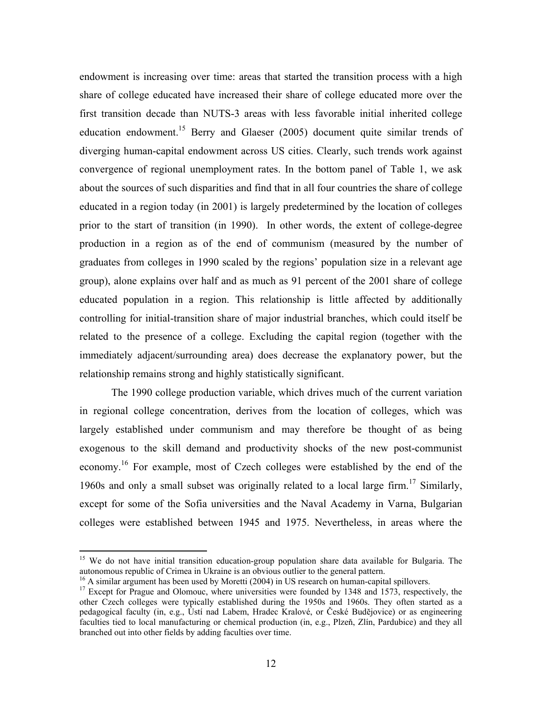endowment is increasing over time: areas that started the transition process with a high share of college educated have increased their share of college educated more over the first transition decade than NUTS-3 areas with less favorable initial inherited college education endowment.<sup>15</sup> Berry and Glaeser (2005) document quite similar trends of diverging human-capital endowment across US cities. Clearly, such trends work against convergence of regional unemployment rates. In the bottom panel of Table 1, we ask about the sources of such disparities and find that in all four countries the share of college educated in a region today (in 2001) is largely predetermined by the location of colleges prior to the start of transition (in 1990). In other words, the extent of college-degree production in a region as of the end of communism (measured by the number of graduates from colleges in 1990 scaled by the regions' population size in a relevant age group), alone explains over half and as much as 91 percent of the 2001 share of college educated population in a region. This relationship is little affected by additionally controlling for initial-transition share of major industrial branches, which could itself be related to the presence of a college. Excluding the capital region (together with the immediately adjacent/surrounding area) does decrease the explanatory power, but the relationship remains strong and highly statistically significant.

The 1990 college production variable, which drives much of the current variation in regional college concentration, derives from the location of colleges, which was largely established under communism and may therefore be thought of as being exogenous to the skill demand and productivity shocks of the new post-communist economy.<sup>16</sup> For example, most of Czech colleges were established by the end of the 1960s and only a small subset was originally related to a local large firm.<sup>17</sup> Similarly, except for some of the Sofia universities and the Naval Academy in Varna, Bulgarian colleges were established between 1945 and 1975. Nevertheless, in areas where the

<sup>&</sup>lt;sup>15</sup> We do not have initial transition education-group population share data available for Bulgaria. The autonomous republic of Crimea in Ukraine is an obvious outlier to the general pattern.<br><sup>16</sup> A similar argument has been used by Moretti (2004) in US research on human-capital spillovers.

 $17$  Except for Prague and Olomouc, where universities were founded by 1348 and 1573, respectively, the other Czech colleges were typically established during the 1950s and 1960s. They often started as a pedagogical faculty (in, e.g., Ústí nad Labem, Hradec Kralové, or České Budĕjovice) or as engineering faculties tied to local manufacturing or chemical production (in, e.g., Plzeň, Zlín, Pardubice) and they all branched out into other fields by adding faculties over time.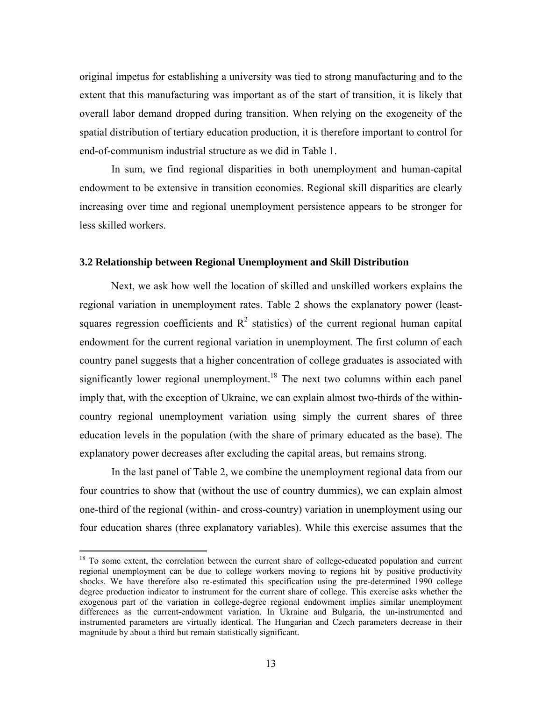original impetus for establishing a university was tied to strong manufacturing and to the extent that this manufacturing was important as of the start of transition, it is likely that overall labor demand dropped during transition. When relying on the exogeneity of the spatial distribution of tertiary education production, it is therefore important to control for end-of-communism industrial structure as we did in Table 1.

In sum, we find regional disparities in both unemployment and human-capital endowment to be extensive in transition economies. Regional skill disparities are clearly increasing over time and regional unemployment persistence appears to be stronger for less skilled workers.

# **3.2 Relationship between Regional Unemployment and Skill Distribution**

Next, we ask how well the location of skilled and unskilled workers explains the regional variation in unemployment rates. Table 2 shows the explanatory power (leastsquares regression coefficients and  $R^2$  statistics) of the current regional human capital endowment for the current regional variation in unemployment. The first column of each country panel suggests that a higher concentration of college graduates is associated with significantly lower regional unemployment.<sup>18</sup> The next two columns within each panel imply that, with the exception of Ukraine, we can explain almost two-thirds of the withincountry regional unemployment variation using simply the current shares of three education levels in the population (with the share of primary educated as the base). The explanatory power decreases after excluding the capital areas, but remains strong.

In the last panel of Table 2, we combine the unemployment regional data from our four countries to show that (without the use of country dummies), we can explain almost one-third of the regional (within- and cross-country) variation in unemployment using our four education shares (three explanatory variables). While this exercise assumes that the

 $18$  To some extent, the correlation between the current share of college-educated population and current regional unemployment can be due to college workers moving to regions hit by positive productivity shocks. We have therefore also re-estimated this specification using the pre-determined 1990 college degree production indicator to instrument for the current share of college. This exercise asks whether the exogenous part of the variation in college-degree regional endowment implies similar unemployment differences as the current-endowment variation. In Ukraine and Bulgaria, the un-instrumented and instrumented parameters are virtually identical. The Hungarian and Czech parameters decrease in their magnitude by about a third but remain statistically significant.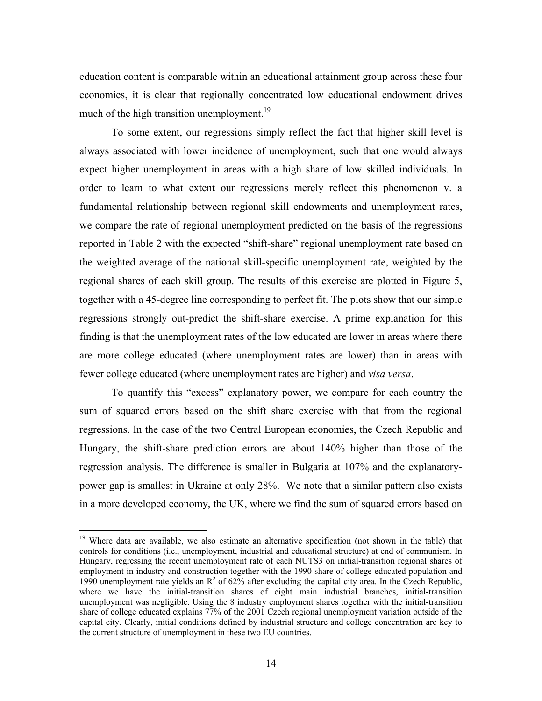education content is comparable within an educational attainment group across these four economies, it is clear that regionally concentrated low educational endowment drives much of the high transition unemployment.<sup>19</sup>

To some extent, our regressions simply reflect the fact that higher skill level is always associated with lower incidence of unemployment, such that one would always expect higher unemployment in areas with a high share of low skilled individuals. In order to learn to what extent our regressions merely reflect this phenomenon v. a fundamental relationship between regional skill endowments and unemployment rates, we compare the rate of regional unemployment predicted on the basis of the regressions reported in Table 2 with the expected "shift-share" regional unemployment rate based on the weighted average of the national skill-specific unemployment rate, weighted by the regional shares of each skill group. The results of this exercise are plotted in Figure 5, together with a 45-degree line corresponding to perfect fit. The plots show that our simple regressions strongly out-predict the shift-share exercise. A prime explanation for this finding is that the unemployment rates of the low educated are lower in areas where there are more college educated (where unemployment rates are lower) than in areas with fewer college educated (where unemployment rates are higher) and *visa versa*.

To quantify this "excess" explanatory power, we compare for each country the sum of squared errors based on the shift share exercise with that from the regional regressions. In the case of the two Central European economies, the Czech Republic and Hungary, the shift-share prediction errors are about 140% higher than those of the regression analysis. The difference is smaller in Bulgaria at 107% and the explanatorypower gap is smallest in Ukraine at only 28%. We note that a similar pattern also exists in a more developed economy, the UK, where we find the sum of squared errors based on

<sup>&</sup>lt;sup>19</sup> Where data are available, we also estimate an alternative specification (not shown in the table) that controls for conditions (i.e., unemployment, industrial and educational structure) at end of communism. In Hungary, regressing the recent unemployment rate of each NUTS3 on initial-transition regional shares of employment in industry and construction together with the 1990 share of college educated population and 1990 unemployment rate yields an  $R^2$  of 62% after excluding the capital city area. In the Czech Republic, where we have the initial-transition shares of eight main industrial branches, initial-transition unemployment was negligible. Using the 8 industry employment shares together with the initial-transition share of college educated explains 77% of the 2001 Czech regional unemployment variation outside of the capital city. Clearly, initial conditions defined by industrial structure and college concentration are key to the current structure of unemployment in these two EU countries.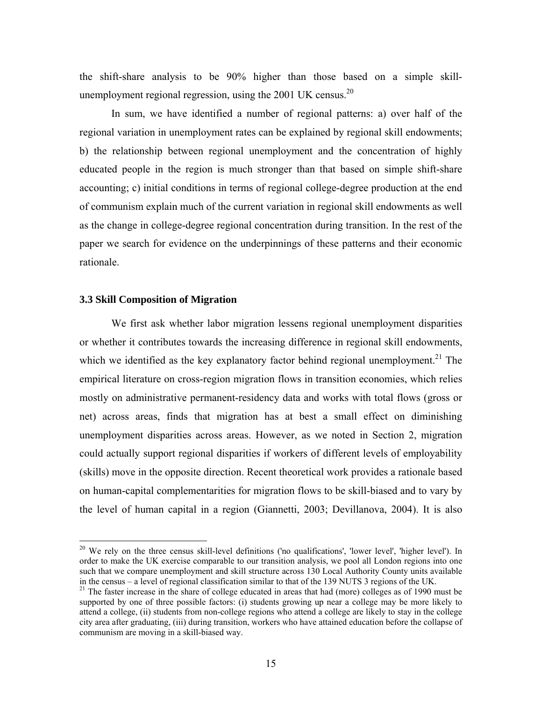the shift-share analysis to be 90% higher than those based on a simple skillunemployment regional regression, using the 2001 UK census.<sup>20</sup>

In sum, we have identified a number of regional patterns: a) over half of the regional variation in unemployment rates can be explained by regional skill endowments; b) the relationship between regional unemployment and the concentration of highly educated people in the region is much stronger than that based on simple shift-share accounting; c) initial conditions in terms of regional college-degree production at the end of communism explain much of the current variation in regional skill endowments as well as the change in college-degree regional concentration during transition. In the rest of the paper we search for evidence on the underpinnings of these patterns and their economic rationale.

# **3.3 Skill Composition of Migration**

 $\overline{a}$ 

We first ask whether labor migration lessens regional unemployment disparities or whether it contributes towards the increasing difference in regional skill endowments, which we identified as the key explanatory factor behind regional unemployment.<sup>21</sup> The empirical literature on cross-region migration flows in transition economies, which relies mostly on administrative permanent-residency data and works with total flows (gross or net) across areas, finds that migration has at best a small effect on diminishing unemployment disparities across areas. However, as we noted in Section 2, migration could actually support regional disparities if workers of different levels of employability (skills) move in the opposite direction. Recent theoretical work provides a rationale based on human-capital complementarities for migration flows to be skill-biased and to vary by the level of human capital in a region (Giannetti, 2003; Devillanova, 2004). It is also

<sup>&</sup>lt;sup>20</sup> We rely on the three census skill-level definitions ('no qualifications', 'lower level', 'higher level'). In order to make the UK exercise comparable to our transition analysis, we pool all London regions into one such that we compare unemployment and skill structure across 130 Local Authority County units available in the census – a level of regional classification similar to that of the 139 NUTS 3 regions of the UK.

<sup>&</sup>lt;sup>21</sup> The faster increase in the share of college educated in areas that had (more) colleges as of 1990 must be supported by one of three possible factors: (i) students growing up near a college may be more likely to attend a college, (ii) students from non-college regions who attend a college are likely to stay in the college city area after graduating, (iii) during transition, workers who have attained education before the collapse of communism are moving in a skill-biased way.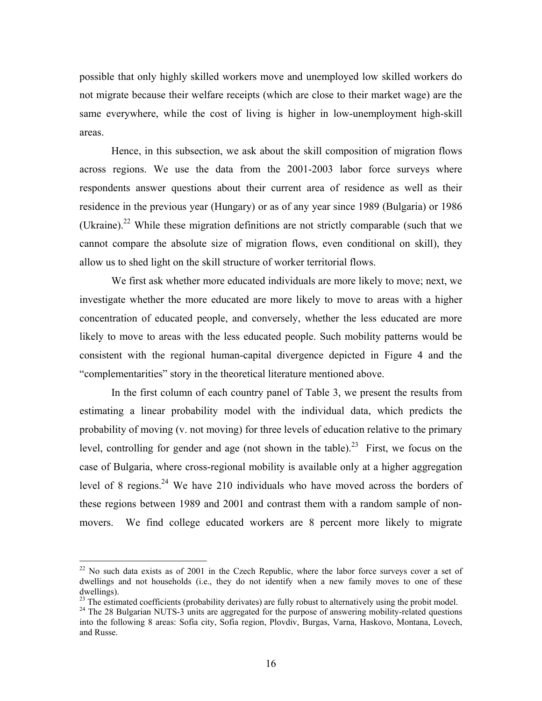possible that only highly skilled workers move and unemployed low skilled workers do not migrate because their welfare receipts (which are close to their market wage) are the same everywhere, while the cost of living is higher in low-unemployment high-skill areas.

Hence, in this subsection, we ask about the skill composition of migration flows across regions. We use the data from the 2001-2003 labor force surveys where respondents answer questions about their current area of residence as well as their residence in the previous year (Hungary) or as of any year since 1989 (Bulgaria) or 1986 (Ukraine).<sup>22</sup> While these migration definitions are not strictly comparable (such that we cannot compare the absolute size of migration flows, even conditional on skill), they allow us to shed light on the skill structure of worker territorial flows.

We first ask whether more educated individuals are more likely to move; next, we investigate whether the more educated are more likely to move to areas with a higher concentration of educated people, and conversely, whether the less educated are more likely to move to areas with the less educated people. Such mobility patterns would be consistent with the regional human-capital divergence depicted in Figure 4 and the "complementarities" story in the theoretical literature mentioned above.

In the first column of each country panel of Table 3, we present the results from estimating a linear probability model with the individual data, which predicts the probability of moving (v. not moving) for three levels of education relative to the primary level, controlling for gender and age (not shown in the table).<sup>23</sup> First, we focus on the case of Bulgaria, where cross-regional mobility is available only at a higher aggregation level of 8 regions.<sup>24</sup> We have 210 individuals who have moved across the borders of these regions between 1989 and 2001 and contrast them with a random sample of nonmovers. We find college educated workers are 8 percent more likely to migrate

 $22$  No such data exists as of 2001 in the Czech Republic, where the labor force surveys cover a set of dwellings and not households (i.e., they do not identify when a new family moves to one of these dwellings).<br><sup>23</sup> The estimated coefficients (probability derivates) are fully robust to alternatively using the probit model.

<sup>&</sup>lt;sup>24</sup> The 28 Bulgarian NUTS-3 units are aggregated for the purpose of answering mobility-related questions into the following 8 areas: Sofia city, Sofia region, Plovdiv, Burgas, Varna, Haskovo, Montana, Lovech, and Russe.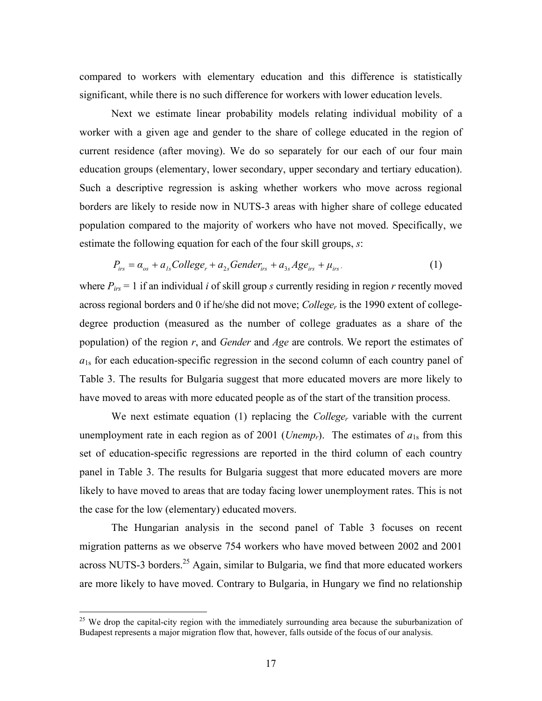compared to workers with elementary education and this difference is statistically significant, while there is no such difference for workers with lower education levels.

Next we estimate linear probability models relating individual mobility of a worker with a given age and gender to the share of college educated in the region of current residence (after moving). We do so separately for our each of our four main education groups (elementary, lower secondary, upper secondary and tertiary education). Such a descriptive regression is asking whether workers who move across regional borders are likely to reside now in NUTS-3 areas with higher share of college educated population compared to the majority of workers who have not moved. Specifically, we estimate the following equation for each of the four skill groups, *s*:

$$
P_{irs} = \alpha_{os} + a_{ls} College_r + a_{2s}Generator_{irs} + a_{3s}Age_{irs} + \mu_{irs}.
$$
 (1)

where  $P_{irs} = 1$  if an individual *i* of skill group *s* currently residing in region *r* recently moved across regional borders and 0 if he/she did not move; *College<sub>r</sub>* is the 1990 extent of collegedegree production (measured as the number of college graduates as a share of the population) of the region *r*, and *Gender* and *Age* are controls. We report the estimates of  $a<sub>1s</sub>$  for each education-specific regression in the second column of each country panel of Table 3. The results for Bulgaria suggest that more educated movers are more likely to have moved to areas with more educated people as of the start of the transition process.

We next estimate equation (1) replacing the *College<sub>r</sub>* variable with the current unemployment rate in each region as of 2001 (*Unemp<sub>r</sub>*). The estimates of  $a_{1s}$  from this set of education-specific regressions are reported in the third column of each country panel in Table 3. The results for Bulgaria suggest that more educated movers are more likely to have moved to areas that are today facing lower unemployment rates. This is not the case for the low (elementary) educated movers.

The Hungarian analysis in the second panel of Table 3 focuses on recent migration patterns as we observe 754 workers who have moved between 2002 and 2001 across NUTS-3 borders.<sup>25</sup> Again, similar to Bulgaria, we find that more educated workers are more likely to have moved. Contrary to Bulgaria, in Hungary we find no relationship

 $25$  We drop the capital-city region with the immediately surrounding area because the suburbanization of Budapest represents a major migration flow that, however, falls outside of the focus of our analysis.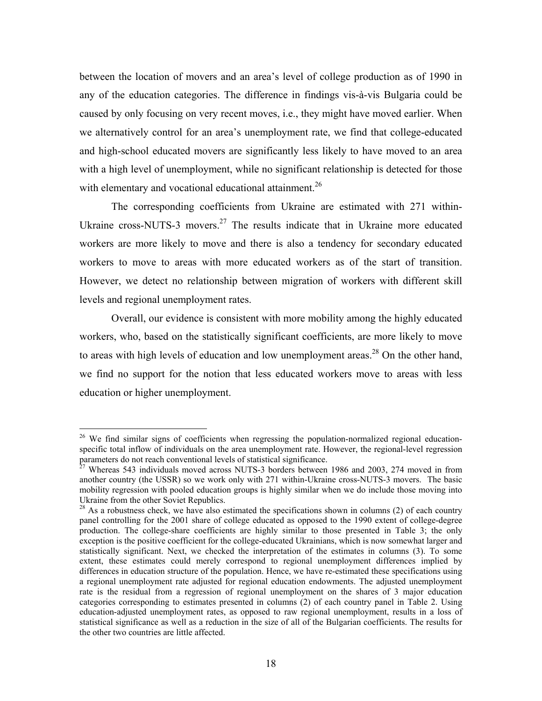between the location of movers and an area's level of college production as of 1990 in any of the education categories. The difference in findings vis-à-vis Bulgaria could be caused by only focusing on very recent moves, i.e., they might have moved earlier. When we alternatively control for an area's unemployment rate, we find that college-educated and high-school educated movers are significantly less likely to have moved to an area with a high level of unemployment, while no significant relationship is detected for those with elementary and vocational educational attainment.<sup>26</sup>

The corresponding coefficients from Ukraine are estimated with 271 within-Ukraine cross-NUTS-3 movers.<sup>27</sup> The results indicate that in Ukraine more educated workers are more likely to move and there is also a tendency for secondary educated workers to move to areas with more educated workers as of the start of transition. However, we detect no relationship between migration of workers with different skill levels and regional unemployment rates.

Overall, our evidence is consistent with more mobility among the highly educated workers, who, based on the statistically significant coefficients, are more likely to move to areas with high levels of education and low unemployment areas.<sup>28</sup> On the other hand, we find no support for the notion that less educated workers move to areas with less education or higher unemployment.

 $26$  We find similar signs of coefficients when regressing the population-normalized regional educationspecific total inflow of individuals on the area unemployment rate. However, the regional-level regression parameters do not reach conventional levels of statistical significance.

 $27$  Whereas 543 individuals moved across NUTS-3 borders between 1986 and 2003, 274 moved in from another country (the USSR) so we work only with 271 within-Ukraine cross-NUTS-3 movers. The basic mobility regression with pooled education groups is highly similar when we do include those moving into Ukraine from the other Soviet Republics.

 $28$  As a robustness check, we have also estimated the specifications shown in columns (2) of each country panel controlling for the 2001 share of college educated as opposed to the 1990 extent of college-degree production. The college-share coefficients are highly similar to those presented in Table 3; the only exception is the positive coefficient for the college-educated Ukrainians, which is now somewhat larger and statistically significant. Next, we checked the interpretation of the estimates in columns (3). To some extent, these estimates could merely correspond to regional unemployment differences implied by differences in education structure of the population. Hence, we have re-estimated these specifications using a regional unemployment rate adjusted for regional education endowments. The adjusted unemployment rate is the residual from a regression of regional unemployment on the shares of 3 major education categories corresponding to estimates presented in columns (2) of each country panel in Table 2. Using education-adjusted unemployment rates, as opposed to raw regional unemployment, results in a loss of statistical significance as well as a reduction in the size of all of the Bulgarian coefficients. The results for the other two countries are little affected.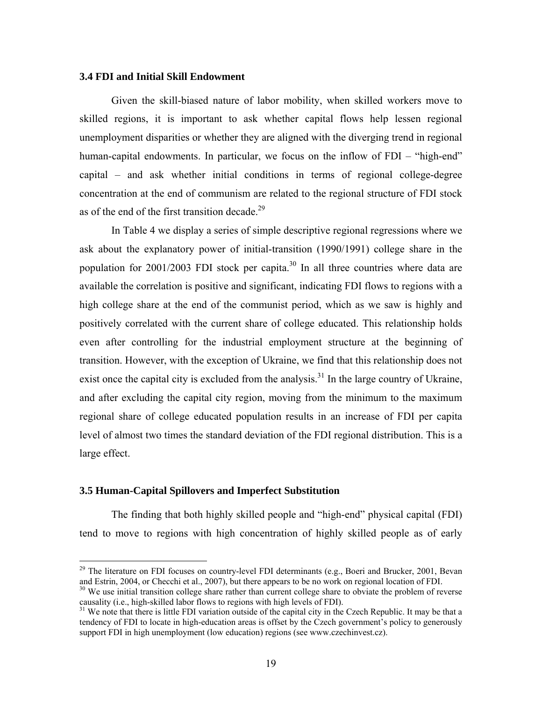# **3.4 FDI and Initial Skill Endowment**

Given the skill-biased nature of labor mobility, when skilled workers move to skilled regions, it is important to ask whether capital flows help lessen regional unemployment disparities or whether they are aligned with the diverging trend in regional human-capital endowments. In particular, we focus on the inflow of FDI – "high-end" capital – and ask whether initial conditions in terms of regional college-degree concentration at the end of communism are related to the regional structure of FDI stock as of the end of the first transition decade. $29$ 

In Table 4 we display a series of simple descriptive regional regressions where we ask about the explanatory power of initial-transition (1990/1991) college share in the population for  $2001/2003$  FDI stock per capita.<sup>30</sup> In all three countries where data are available the correlation is positive and significant, indicating FDI flows to regions with a high college share at the end of the communist period, which as we saw is highly and positively correlated with the current share of college educated. This relationship holds even after controlling for the industrial employment structure at the beginning of transition. However, with the exception of Ukraine, we find that this relationship does not exist once the capital city is excluded from the analysis.<sup>31</sup> In the large country of Ukraine, and after excluding the capital city region, moving from the minimum to the maximum regional share of college educated population results in an increase of FDI per capita level of almost two times the standard deviation of the FDI regional distribution. This is a large effect.

### **3.5 Human-Capital Spillovers and Imperfect Substitution**

 $\overline{a}$ 

The finding that both highly skilled people and "high-end" physical capital (FDI) tend to move to regions with high concentration of highly skilled people as of early

 $29$  The literature on FDI focuses on country-level FDI determinants (e.g., Boeri and Brucker, 2001, Bevan and Estrin, 2004, or Checchi et al., 2007), but there appears to be no work on regional location of FDI.

 $30$  We use initial transition college share rather than current college share to obviate the problem of reverse causality (i.e., high-skilled labor flows to regions with high levels of FDI).

<sup>&</sup>lt;sup>31</sup> We note that there is little FDI variation outside of the capital city in the Czech Republic. It may be that a tendency of FDI to locate in high-education areas is offset by the Czech government's policy to generously support FDI in high unemployment (low education) regions (see www.czechinvest.cz).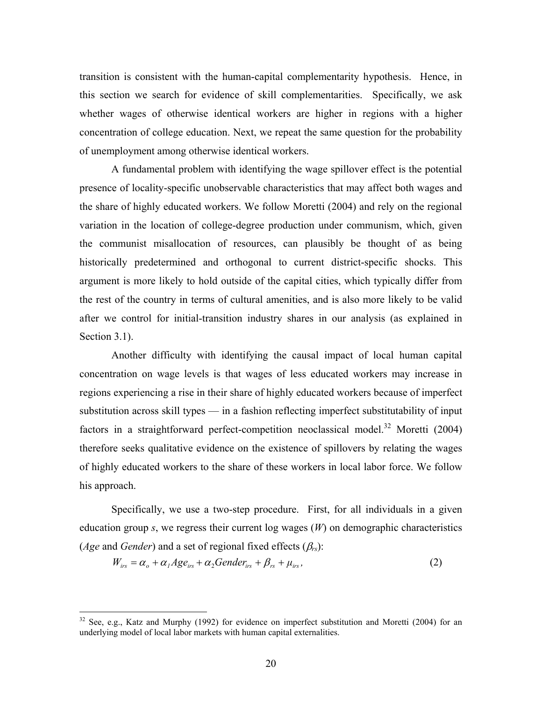transition is consistent with the human-capital complementarity hypothesis. Hence, in this section we search for evidence of skill complementarities. Specifically, we ask whether wages of otherwise identical workers are higher in regions with a higher concentration of college education. Next, we repeat the same question for the probability of unemployment among otherwise identical workers.

A fundamental problem with identifying the wage spillover effect is the potential presence of locality-specific unobservable characteristics that may affect both wages and the share of highly educated workers. We follow Moretti (2004) and rely on the regional variation in the location of college-degree production under communism, which, given the communist misallocation of resources, can plausibly be thought of as being historically predetermined and orthogonal to current district-specific shocks. This argument is more likely to hold outside of the capital cities, which typically differ from the rest of the country in terms of cultural amenities, and is also more likely to be valid after we control for initial-transition industry shares in our analysis (as explained in Section 3.1).

Another difficulty with identifying the causal impact of local human capital concentration on wage levels is that wages of less educated workers may increase in regions experiencing a rise in their share of highly educated workers because of imperfect substitution across skill types — in a fashion reflecting imperfect substitutability of input factors in a straightforward perfect-competition neoclassical model.<sup>32</sup> Moretti (2004) therefore seeks qualitative evidence on the existence of spillovers by relating the wages of highly educated workers to the share of these workers in local labor force. We follow his approach.

Specifically, we use a two-step procedure. First, for all individuals in a given education group *s*, we regress their current log wages (*W*) on demographic characteristics (*Age* and *Gender*) and a set of regional fixed effects  $(\beta_{rs})$ :

$$
W_{irs} = \alpha_o + \alpha_1 Age_{irs} + \alpha_2 gender_{irs} + \beta_{rs} + \mu_{irs},
$$
\n(2)

 $32$  See, e.g., Katz and Murphy (1992) for evidence on imperfect substitution and Moretti (2004) for an underlying model of local labor markets with human capital externalities.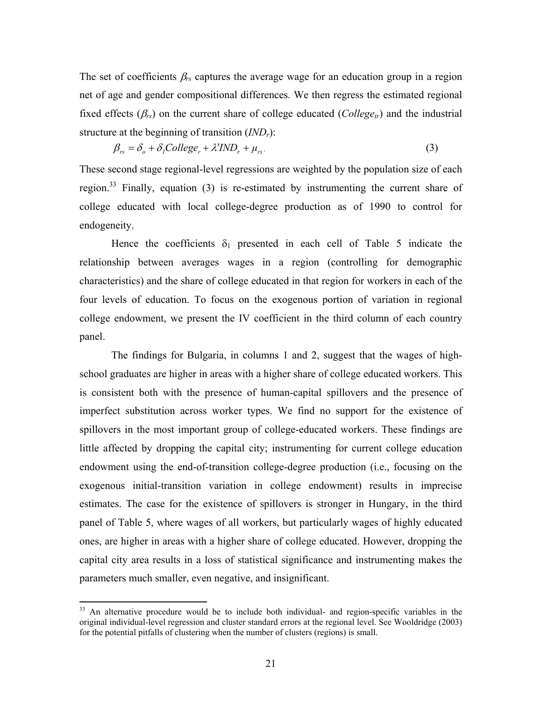The set of coefficients  $\beta_{rs}$  captures the average wage for an education group in a region net of age and gender compositional differences. We then regress the estimated regional fixed effects ( $\beta_{rs}$ ) on the current share of college educated (*College<sub>tr</sub>*) and the industrial structure at the beginning of transition (*INDr*):

$$
\beta_{rs} = \delta_o + \delta_l College_r + \lambda'IND_r + \mu_{rs}.\tag{3}
$$

These second stage regional-level regressions are weighted by the population size of each region.<sup>33</sup> Finally, equation (3) is re-estimated by instrumenting the current share of college educated with local college-degree production as of 1990 to control for endogeneity.

Hence the coefficients  $\delta_1$  presented in each cell of Table 5 indicate the relationship between averages wages in a region (controlling for demographic characteristics) and the share of college educated in that region for workers in each of the four levels of education. To focus on the exogenous portion of variation in regional college endowment, we present the IV coefficient in the third column of each country panel.

The findings for Bulgaria, in columns 1 and 2, suggest that the wages of highschool graduates are higher in areas with a higher share of college educated workers. This is consistent both with the presence of human-capital spillovers and the presence of imperfect substitution across worker types. We find no support for the existence of spillovers in the most important group of college-educated workers. These findings are little affected by dropping the capital city; instrumenting for current college education endowment using the end-of-transition college-degree production (i.e., focusing on the exogenous initial-transition variation in college endowment) results in imprecise estimates. The case for the existence of spillovers is stronger in Hungary, in the third panel of Table 5, where wages of all workers, but particularly wages of highly educated ones, are higher in areas with a higher share of college educated. However, dropping the capital city area results in a loss of statistical significance and instrumenting makes the parameters much smaller, even negative, and insignificant.

<sup>&</sup>lt;sup>33</sup> An alternative procedure would be to include both individual- and region-specific variables in the original individual-level regression and cluster standard errors at the regional level. See Wooldridge (2003) for the potential pitfalls of clustering when the number of clusters (regions) is small.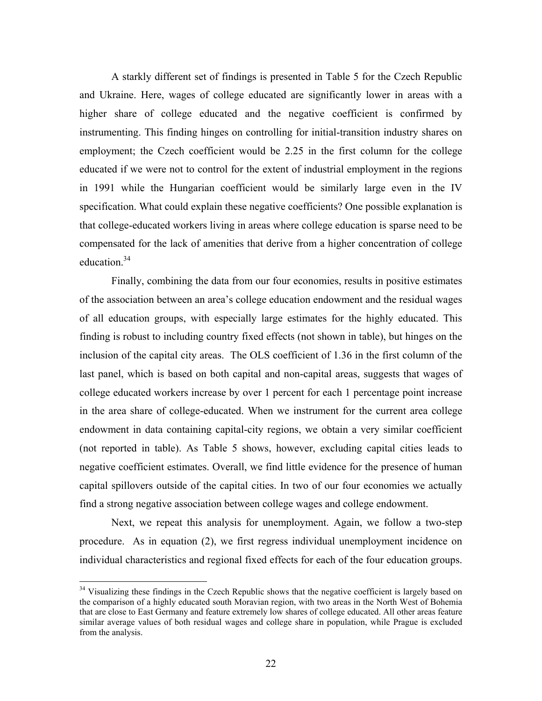A starkly different set of findings is presented in Table 5 for the Czech Republic and Ukraine. Here, wages of college educated are significantly lower in areas with a higher share of college educated and the negative coefficient is confirmed by instrumenting. This finding hinges on controlling for initial-transition industry shares on employment; the Czech coefficient would be 2.25 in the first column for the college educated if we were not to control for the extent of industrial employment in the regions in 1991 while the Hungarian coefficient would be similarly large even in the IV specification. What could explain these negative coefficients? One possible explanation is that college-educated workers living in areas where college education is sparse need to be compensated for the lack of amenities that derive from a higher concentration of college education.<sup>34</sup>

Finally, combining the data from our four economies, results in positive estimates of the association between an area's college education endowment and the residual wages of all education groups, with especially large estimates for the highly educated. This finding is robust to including country fixed effects (not shown in table), but hinges on the inclusion of the capital city areas. The OLS coefficient of 1.36 in the first column of the last panel, which is based on both capital and non-capital areas, suggests that wages of college educated workers increase by over 1 percent for each 1 percentage point increase in the area share of college-educated. When we instrument for the current area college endowment in data containing capital-city regions, we obtain a very similar coefficient (not reported in table). As Table 5 shows, however, excluding capital cities leads to negative coefficient estimates. Overall, we find little evidence for the presence of human capital spillovers outside of the capital cities. In two of our four economies we actually find a strong negative association between college wages and college endowment.

Next, we repeat this analysis for unemployment. Again, we follow a two-step procedure. As in equation (2), we first regress individual unemployment incidence on individual characteristics and regional fixed effects for each of the four education groups.

<sup>&</sup>lt;sup>34</sup> Visualizing these findings in the Czech Republic shows that the negative coefficient is largely based on the comparison of a highly educated south Moravian region, with two areas in the North West of Bohemia that are close to East Germany and feature extremely low shares of college educated. All other areas feature similar average values of both residual wages and college share in population, while Prague is excluded from the analysis.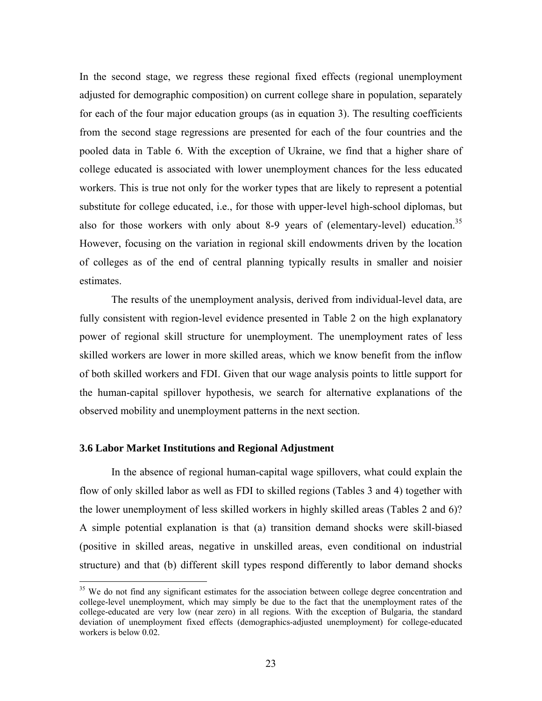In the second stage, we regress these regional fixed effects (regional unemployment adjusted for demographic composition) on current college share in population, separately for each of the four major education groups (as in equation 3). The resulting coefficients from the second stage regressions are presented for each of the four countries and the pooled data in Table 6. With the exception of Ukraine, we find that a higher share of college educated is associated with lower unemployment chances for the less educated workers. This is true not only for the worker types that are likely to represent a potential substitute for college educated, i.e., for those with upper-level high-school diplomas, but also for those workers with only about 8-9 years of (elementary-level) education.<sup>35</sup> However, focusing on the variation in regional skill endowments driven by the location of colleges as of the end of central planning typically results in smaller and noisier estimates.

The results of the unemployment analysis, derived from individual-level data, are fully consistent with region-level evidence presented in Table 2 on the high explanatory power of regional skill structure for unemployment. The unemployment rates of less skilled workers are lower in more skilled areas, which we know benefit from the inflow of both skilled workers and FDI. Given that our wage analysis points to little support for the human-capital spillover hypothesis, we search for alternative explanations of the observed mobility and unemployment patterns in the next section.

# **3.6 Labor Market Institutions and Regional Adjustment**

 $\overline{a}$ 

In the absence of regional human-capital wage spillovers, what could explain the flow of only skilled labor as well as FDI to skilled regions (Tables 3 and 4) together with the lower unemployment of less skilled workers in highly skilled areas (Tables 2 and 6)? A simple potential explanation is that (a) transition demand shocks were skill-biased (positive in skilled areas, negative in unskilled areas, even conditional on industrial structure) and that (b) different skill types respond differently to labor demand shocks

<sup>&</sup>lt;sup>35</sup> We do not find any significant estimates for the association between college degree concentration and college-level unemployment, which may simply be due to the fact that the unemployment rates of the college-educated are very low (near zero) in all regions. With the exception of Bulgaria, the standard deviation of unemployment fixed effects (demographics-adjusted unemployment) for college-educated workers is below 0.02.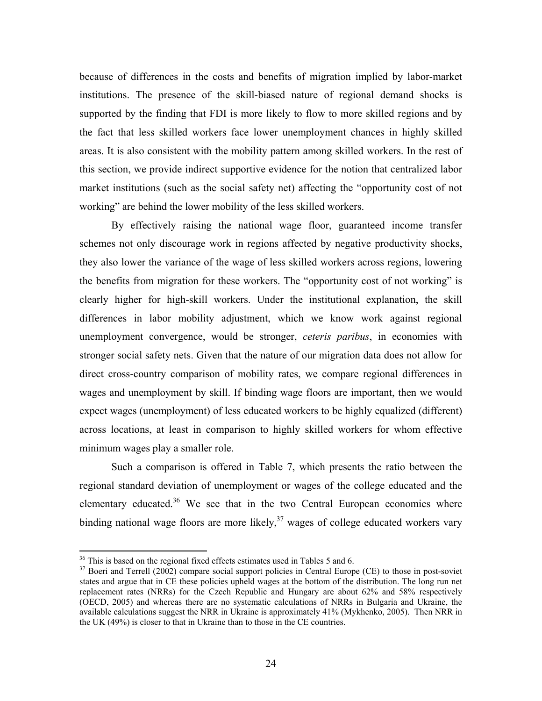because of differences in the costs and benefits of migration implied by labor-market institutions. The presence of the skill-biased nature of regional demand shocks is supported by the finding that FDI is more likely to flow to more skilled regions and by the fact that less skilled workers face lower unemployment chances in highly skilled areas. It is also consistent with the mobility pattern among skilled workers. In the rest of this section, we provide indirect supportive evidence for the notion that centralized labor market institutions (such as the social safety net) affecting the "opportunity cost of not working" are behind the lower mobility of the less skilled workers.

By effectively raising the national wage floor, guaranteed income transfer schemes not only discourage work in regions affected by negative productivity shocks, they also lower the variance of the wage of less skilled workers across regions, lowering the benefits from migration for these workers. The "opportunity cost of not working" is clearly higher for high-skill workers. Under the institutional explanation, the skill differences in labor mobility adjustment, which we know work against regional unemployment convergence, would be stronger, *ceteris paribus*, in economies with stronger social safety nets. Given that the nature of our migration data does not allow for direct cross-country comparison of mobility rates, we compare regional differences in wages and unemployment by skill. If binding wage floors are important, then we would expect wages (unemployment) of less educated workers to be highly equalized (different) across locations, at least in comparison to highly skilled workers for whom effective minimum wages play a smaller role.

Such a comparison is offered in Table 7, which presents the ratio between the regional standard deviation of unemployment or wages of the college educated and the elementary educated.<sup>36</sup> We see that in the two Central European economies where binding national wage floors are more likely,  $37$  wages of college educated workers vary

 $36$  This is based on the regional fixed effects estimates used in Tables 5 and 6.

 $37$  Boeri and Terrell (2002) compare social support policies in Central Europe (CE) to those in post-soviet states and argue that in CE these policies upheld wages at the bottom of the distribution. The long run net replacement rates (NRRs) for the Czech Republic and Hungary are about 62% and 58% respectively (OECD, 2005) and whereas there are no systematic calculations of NRRs in Bulgaria and Ukraine, the available calculations suggest the NRR in Ukraine is approximately 41% (Mykhenko, 2005). Then NRR in the UK (49%) is closer to that in Ukraine than to those in the CE countries.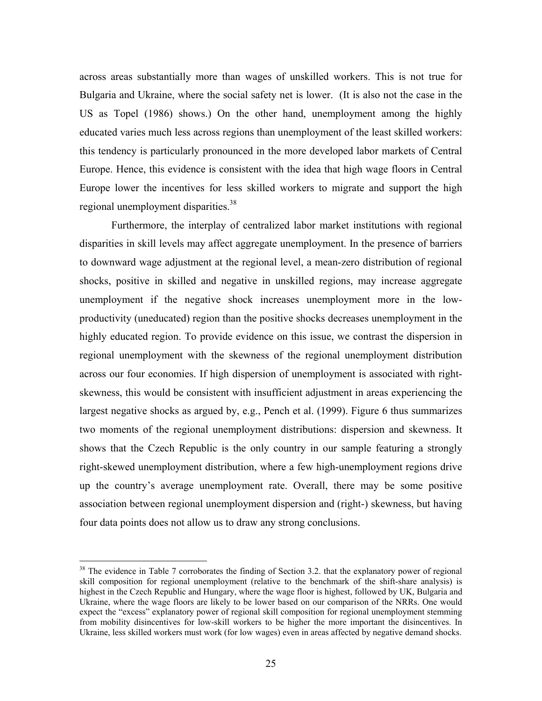across areas substantially more than wages of unskilled workers. This is not true for Bulgaria and Ukraine, where the social safety net is lower. (It is also not the case in the US as Topel (1986) shows.) On the other hand, unemployment among the highly educated varies much less across regions than unemployment of the least skilled workers: this tendency is particularly pronounced in the more developed labor markets of Central Europe. Hence, this evidence is consistent with the idea that high wage floors in Central Europe lower the incentives for less skilled workers to migrate and support the high regional unemployment disparities.<sup>38</sup>

Furthermore, the interplay of centralized labor market institutions with regional disparities in skill levels may affect aggregate unemployment. In the presence of barriers to downward wage adjustment at the regional level, a mean-zero distribution of regional shocks, positive in skilled and negative in unskilled regions, may increase aggregate unemployment if the negative shock increases unemployment more in the lowproductivity (uneducated) region than the positive shocks decreases unemployment in the highly educated region. To provide evidence on this issue, we contrast the dispersion in regional unemployment with the skewness of the regional unemployment distribution across our four economies. If high dispersion of unemployment is associated with rightskewness, this would be consistent with insufficient adjustment in areas experiencing the largest negative shocks as argued by, e.g., Pench et al. (1999). Figure 6 thus summarizes two moments of the regional unemployment distributions: dispersion and skewness. It shows that the Czech Republic is the only country in our sample featuring a strongly right-skewed unemployment distribution, where a few high-unemployment regions drive up the country's average unemployment rate. Overall, there may be some positive association between regional unemployment dispersion and (right-) skewness, but having four data points does not allow us to draw any strong conclusions.

<sup>&</sup>lt;sup>38</sup> The evidence in Table 7 corroborates the finding of Section 3.2. that the explanatory power of regional skill composition for regional unemployment (relative to the benchmark of the shift-share analysis) is highest in the Czech Republic and Hungary, where the wage floor is highest, followed by UK, Bulgaria and Ukraine, where the wage floors are likely to be lower based on our comparison of the NRRs. One would expect the "excess" explanatory power of regional skill composition for regional unemployment stemming from mobility disincentives for low-skill workers to be higher the more important the disincentives. In Ukraine, less skilled workers must work (for low wages) even in areas affected by negative demand shocks.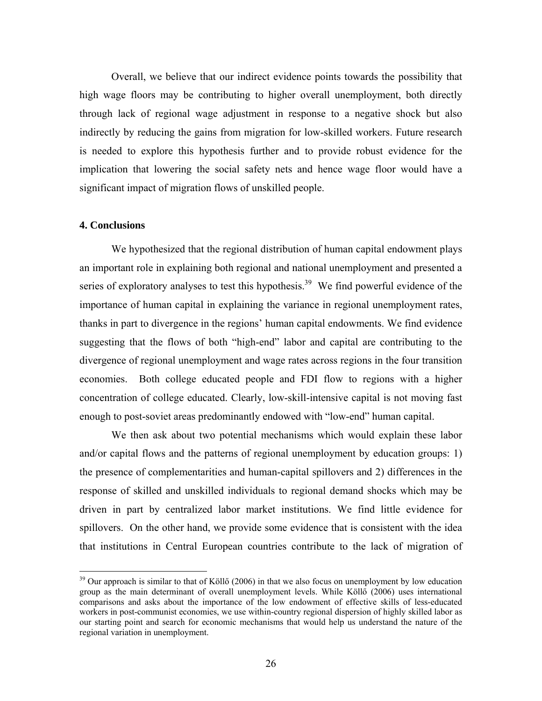Overall, we believe that our indirect evidence points towards the possibility that high wage floors may be contributing to higher overall unemployment, both directly through lack of regional wage adjustment in response to a negative shock but also indirectly by reducing the gains from migration for low-skilled workers. Future research is needed to explore this hypothesis further and to provide robust evidence for the implication that lowering the social safety nets and hence wage floor would have a significant impact of migration flows of unskilled people.

# **4. Conclusions**

 $\overline{a}$ 

We hypothesized that the regional distribution of human capital endowment plays an important role in explaining both regional and national unemployment and presented a series of exploratory analyses to test this hypothesis.<sup>39</sup> We find powerful evidence of the importance of human capital in explaining the variance in regional unemployment rates, thanks in part to divergence in the regions' human capital endowments. We find evidence suggesting that the flows of both "high-end" labor and capital are contributing to the divergence of regional unemployment and wage rates across regions in the four transition economies. Both college educated people and FDI flow to regions with a higher concentration of college educated. Clearly, low-skill-intensive capital is not moving fast enough to post-soviet areas predominantly endowed with "low-end" human capital.

We then ask about two potential mechanisms which would explain these labor and/or capital flows and the patterns of regional unemployment by education groups: 1) the presence of complementarities and human-capital spillovers and 2) differences in the response of skilled and unskilled individuals to regional demand shocks which may be driven in part by centralized labor market institutions. We find little evidence for spillovers. On the other hand, we provide some evidence that is consistent with the idea that institutions in Central European countries contribute to the lack of migration of

 $39$  Our approach is similar to that of Köllő (2006) in that we also focus on unemployment by low education group as the main determinant of overall unemployment levels. While Köllő (2006) uses international comparisons and asks about the importance of the low endowment of effective skills of less-educated workers in post-communist economies, we use within-country regional dispersion of highly skilled labor as our starting point and search for economic mechanisms that would help us understand the nature of the regional variation in unemployment.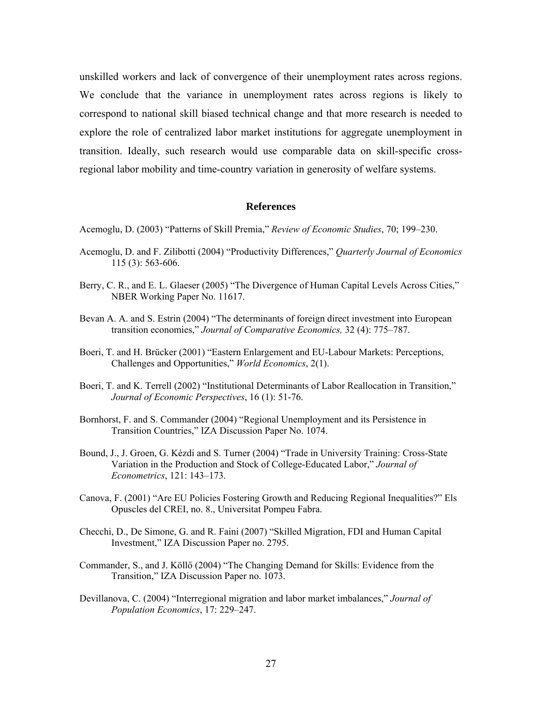unskilled workers and lack of convergence of their unemployment rates across regions. We conclude that the variance in unemployment rates across regions is likely to correspond to national skill biased technical change and that more research is needed to explore the role of centralized labor market institutions for aggregate unemployment in transition. Ideally, such research would use comparable data on skill-specific crossregional labor mobility and time-country variation in generosity of welfare systems.

# **References**

Acemoglu, D. (2003) "Patterns of Skill Premia," *Review of Economic Studies*, 70; 199–230.

- Acemoglu, D. and F. Zilibotti (2004) "Productivity Differences," *Quarterly Journal of Economics*  115 (3): 563-606.
- Berry, C. R., and E. L. Glaeser (2005) "The Divergence of Human Capital Levels Across Cities," NBER Working Paper No. 11617.
- Bevan A. A. and S. Estrin (2004) "The determinants of foreign direct investment into European transition economies," *Journal of Comparative Economics,* 32 (4): 775–787.
- Boeri, T. and H. Brücker (2001) "Eastern Enlargement and EU-Labour Markets: Perceptions, Challenges and Opportunities," *World Economics*, 2(1).
- Boeri, T. and K. Terrell (2002) "Institutional Determinants of Labor Reallocation in Transition," *Journal of Economic Perspectives*, 16 (1): 51-76.
- Bornhorst, F. and S. Commander (2004) "Regional Unemployment and its Persistence in Transition Countries," IZA Discussion Paper No. 1074.
- Bound, J., J. Groen, G. Kézdi and S. Turner (2004) "Trade in University Training: Cross-State Variation in the Production and Stock of College-Educated Labor," *Journal of Econometrics*, 121: 143–173.
- Canova, F. (2001) "Are EU Policies Fostering Growth and Reducing Regional Inequalities?" Els Opuscles del CREI, no. 8., Universitat Pompeu Fabra.
- Checchi, D., De Simone, G. and R. Faini (2007) "Skilled Migration, FDI and Human Capital Investment," IZA Discussion Paper no. 2795.
- Commander, S., and J. Köllő (2004) "The Changing Demand for Skills: Evidence from the Transition," IZA Discussion Paper no. 1073.
- Devillanova, C. (2004) "Interregional migration and labor market imbalances," *Journal of Population Economics*, 17: 229–247.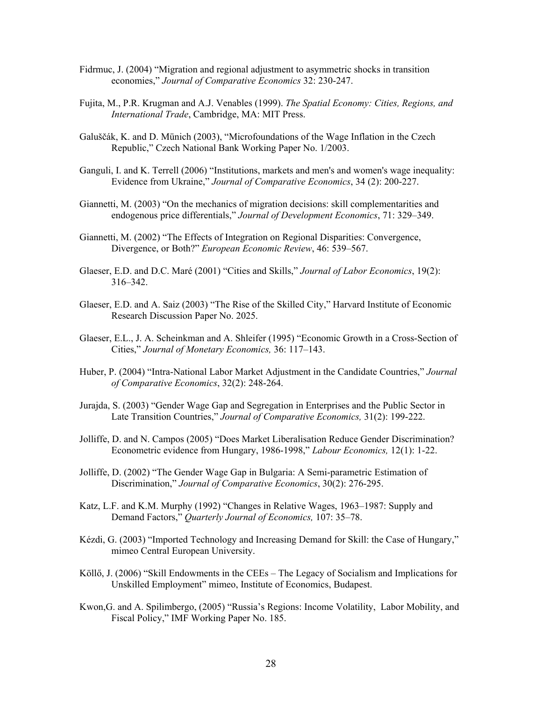- Fidrmuc, J. (2004) "Migration and regional adjustment to asymmetric shocks in transition economies," *Journal of Comparative Economics* 32: 230-247.
- Fujita, M., P.R. Krugman and A.J. Venables (1999). *The Spatial Economy: Cities, Regions, and International Trade*, Cambridge, MA: MIT Press.
- Galuščák, K. and D. Münich (2003), "Microfoundations of the Wage Inflation in the Czech Republic," Czech National Bank Working Paper No. 1/2003.
- Ganguli, I. and K. Terrell (2006) "Institutions, markets and men's and women's wage inequality: Evidence from Ukraine," *Journal of Comparative Economics*, 34 (2): 200-227.
- Giannetti, M. (2003) "On the mechanics of migration decisions: skill complementarities and endogenous price differentials," *Journal of Development Economics*, 71: 329–349.
- Giannetti, M. (2002) "The Effects of Integration on Regional Disparities: Convergence, Divergence, or Both?" *European Economic Review*, 46: 539–567.
- Glaeser, E.D. and D.C. Maré (2001) "Cities and Skills," *Journal of Labor Economics*, 19(2): 316–342.
- Glaeser, E.D. and A. Saiz (2003) "The Rise of the Skilled City," Harvard Institute of Economic Research Discussion Paper No. 2025.
- Glaeser, E.L., J. A. Scheinkman and A. Shleifer (1995) "Economic Growth in a Cross-Section of Cities," *Journal of Monetary Economics,* 36: 117–143.
- Huber, P. (2004) "Intra-National Labor Market Adjustment in the Candidate Countries," *Journal of Comparative Economics*, 32(2): 248-264.
- Jurajda, S. (2003) "Gender Wage Gap and Segregation in Enterprises and the Public Sector in Late Transition Countries," *Journal of Comparative Economics,* 31(2): 199-222.
- Jolliffe, D. and N. Campos (2005) "Does Market Liberalisation Reduce Gender Discrimination? Econometric evidence from Hungary, 1986-1998," *Labour Economics,* 12(1): 1-22.
- Jolliffe, D. (2002) "The Gender Wage Gap in Bulgaria: A Semi-parametric Estimation of Discrimination," *Journal of Comparative Economics*, 30(2): 276-295.
- Katz, L.F. and K.M. Murphy (1992) "Changes in Relative Wages, 1963–1987: Supply and Demand Factors," *Quarterly Journal of Economics,* 107: 35–78.
- Kézdi, G. (2003) "Imported Technology and Increasing Demand for Skill: the Case of Hungary," mimeo Central European University.
- Köllő, J. (2006) "Skill Endowments in the CEEs The Legacy of Socialism and Implications for Unskilled Employment" mimeo, Institute of Economics, Budapest.
- Kwon,G. and A. Spilimbergo, (2005) "Russia's Regions: Income Volatility, Labor Mobility, and Fiscal Policy," IMF Working Paper No. 185.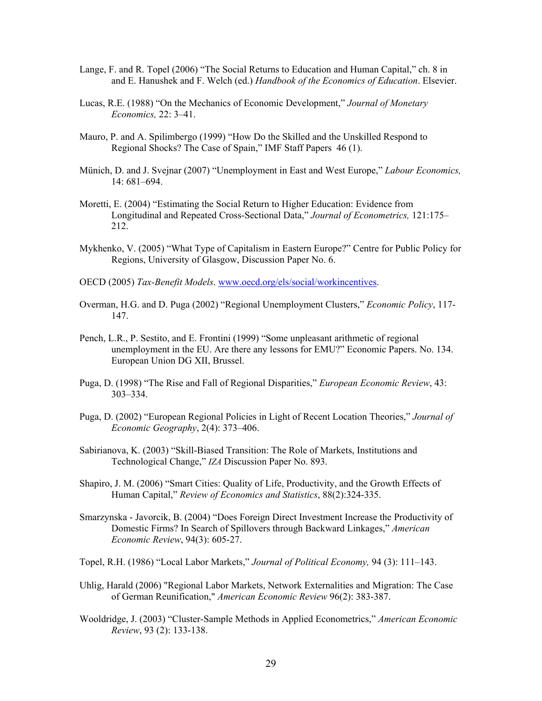- Lange, F. and R. Topel (2006) "The Social Returns to Education and Human Capital," ch. 8 in and E. Hanushek and F. Welch (ed.) *Handbook of the Economics of Education*. Elsevier.
- Lucas, R.E. (1988) "On the Mechanics of Economic Development," *Journal of Monetary Economics,* 22: 3–41.
- Mauro, P. and A. Spilimbergo (1999) "How Do the Skilled and the Unskilled Respond to Regional Shocks? The Case of Spain," IMF Staff Papers 46 (1).
- Münich, D. and J. Svejnar (2007) "Unemployment in East and West Europe," *Labour Economics,*  14: 681–694.
- Moretti, E. (2004) "Estimating the Social Return to Higher Education: Evidence from Longitudinal and Repeated Cross-Sectional Data," *Journal of Econometrics,* 121:175– 212.
- Mykhenko, V. (2005) "What Type of Capitalism in Eastern Europe?" Centre for Public Policy for Regions, University of Glasgow, Discussion Paper No. 6.
- OECD (2005) *Tax-Benefit Models*. www.oecd.org/els/social/workincentives.
- Overman, H.G. and D. Puga (2002) "Regional Unemployment Clusters," *Economic Policy*, 117- 147.
- Pench, L.R., P. Sestito, and E. Frontini (1999) "Some unpleasant arithmetic of regional unemployment in the EU. Are there any lessons for EMU?" Economic Papers. No. 134. European Union DG XII, Brussel.
- Puga, D. (1998) "The Rise and Fall of Regional Disparities," *European Economic Review*, 43: 303–334.
- Puga, D. (2002) "European Regional Policies in Light of Recent Location Theories," *Journal of Economic Geography*, 2(4): 373–406.
- Sabirianova, K. (2003) "Skill-Biased Transition: The Role of Markets, Institutions and Technological Change," *IZA* Discussion Paper No. 893.
- Shapiro, J. M. (2006) "Smart Cities: Quality of Life, Productivity, and the Growth Effects of Human Capital," *Review of Economics and Statistics*, 88(2):324-335.
- Smarzynska Javorcik, B. (2004) "Does Foreign Direct Investment Increase the Productivity of Domestic Firms? In Search of Spillovers through Backward Linkages," *American Economic Review*, 94(3): 605-27.
- Topel, R.H. (1986) "Local Labor Markets," *Journal of Political Economy,* 94 (3): 111–143.
- Uhlig, Harald (2006) "Regional Labor Markets, Network Externalities and Migration: The Case of German Reunification," *American Economic Review* 96(2): 383-387.
- Wooldridge, J. (2003) "Cluster-Sample Methods in Applied Econometrics," *American Economic Review*, 93 (2): 133-138.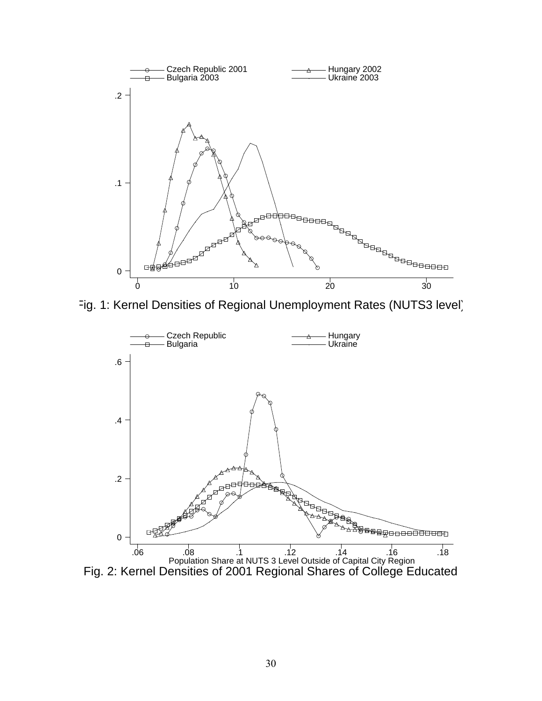

Fig. 1: Kernel Densities of Regional Unemployment Rates (NUTS3 level)

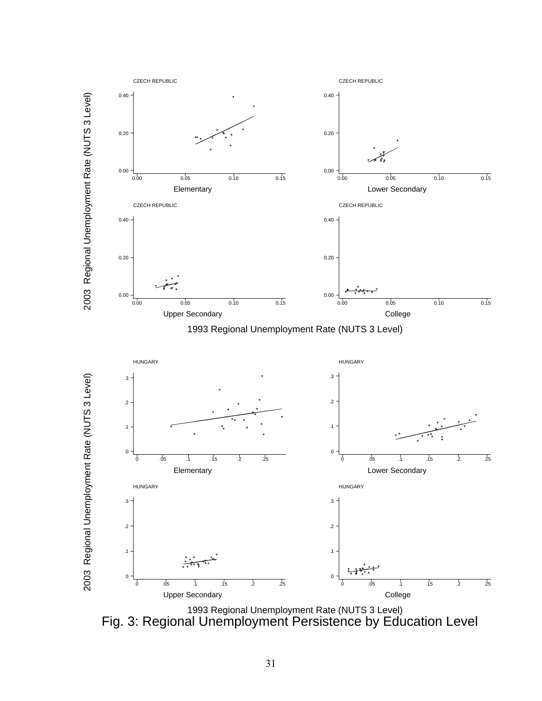

Fig. 3: Regional Unemployment Persistence by Education Level 1993 Regional Unemployment Rate (NUTS 3 Level)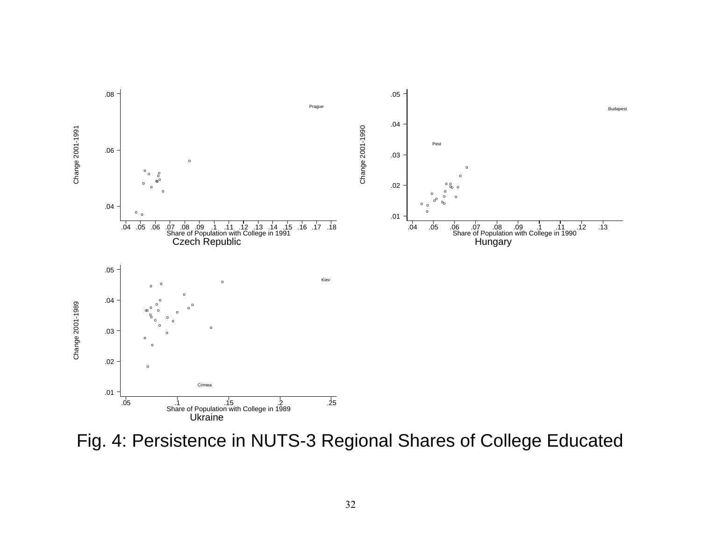

Fig. 4: Persistence in NUTS-3 Regional Shares of College Educated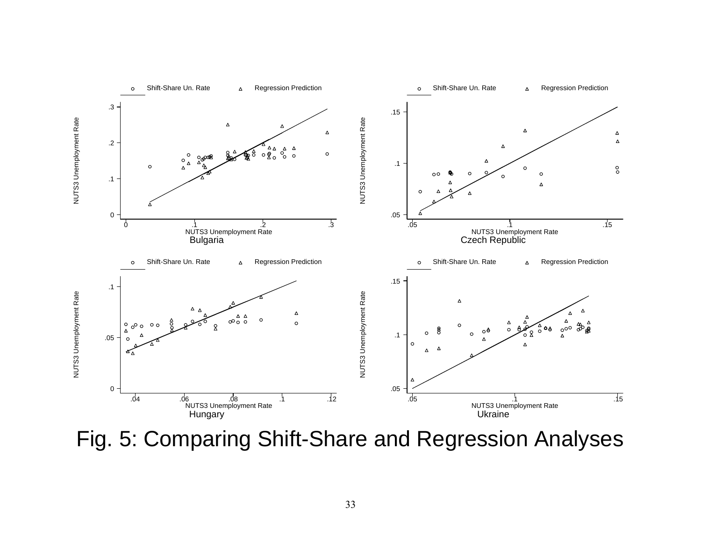

Fig. 5: Comparing Shift-Share and Regression Analyses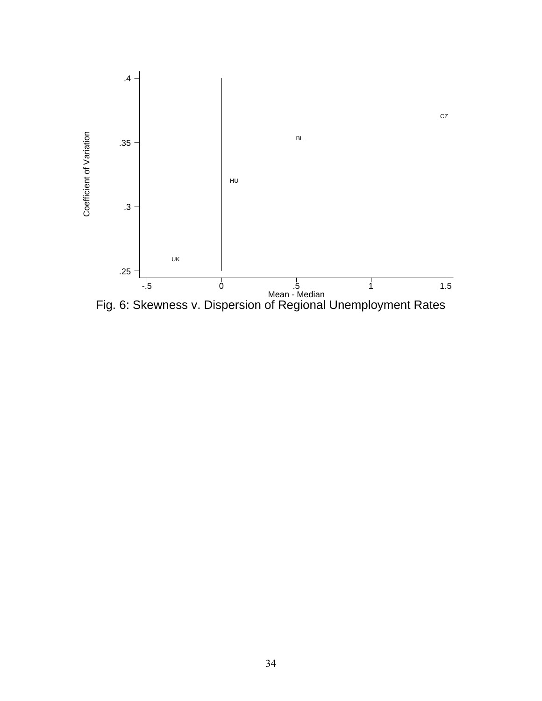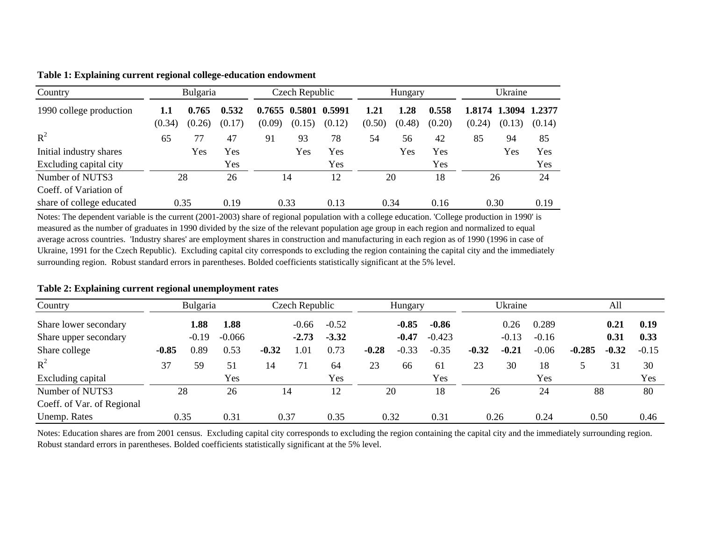| Country                   |               | Bulgaria        |                 |        | Czech Republic                 |        |                | Hungary        |                 |        | Ukraine                        |        |
|---------------------------|---------------|-----------------|-----------------|--------|--------------------------------|--------|----------------|----------------|-----------------|--------|--------------------------------|--------|
| 1990 college production   | 1.1<br>(0.34) | 0.765<br>(0.26) | 0.532<br>(0.17) | (0.09) | 0.7655 0.5801 0.5991<br>(0.15) | (0.12) | 1.21<br>(0.50) | 1.28<br>(0.48) | 0.558<br>(0.20) | (0.24) | 1.8174 1.3094 1.2377<br>(0.13) | (0.14) |
| $R^2$                     | 65            | 77              | 47              | 91     | 93                             | 78     | 54             | 56             | 42              | 85     | 94                             | 85     |
| Initial industry shares   |               | Yes             | Yes             |        | Yes                            | Yes    |                | Yes            | Yes             |        | Yes                            | Yes    |
| Excluding capital city    |               |                 | Yes             |        |                                | Yes    |                |                | Yes             |        |                                | Yes    |
| Number of NUTS3           |               | 28              | 26              |        | 14                             | 12     |                | 20             | 18              |        | 26                             | 24     |
| Coeff. of Variation of    |               |                 |                 |        |                                |        |                |                |                 |        |                                |        |
| share of college educated |               | 0.35            | 0.19            |        | 0.33                           | 0.13   |                | 0.34           | 0.16            |        | 0.30                           | 0.19   |

**Table 1: Explaining current regional college-education endowment**

Notes: The dependent variable is the current (2001-2003) share of regional population with a college education. 'College production in 1990' is measured as the number of graduates in 1990 divided by the size of the relevant population age group in each region and normalized to equal average across countries. 'Industry shares' are employment shares in construction and manufacturing in each region as of 1990 (1996 in case of Ukraine, 1991 for the Czech Republic). Excluding capital city corresponds to excluding the region containing the capital city and the immediately surrounding region. Robust standard errors in parentheses. Bolded coefficients statistically significant at the 5% level.

| Country                                        |         | Bulgaria        |                  |         | Czech Republic     |                    |         | Hungary            |                     |         | Ukraine         |                  |          | All          |              |
|------------------------------------------------|---------|-----------------|------------------|---------|--------------------|--------------------|---------|--------------------|---------------------|---------|-----------------|------------------|----------|--------------|--------------|
| Share lower secondary<br>Share upper secondary |         | 1.88<br>$-0.19$ | 1.88<br>$-0.066$ |         | $-0.66$<br>$-2.73$ | $-0.52$<br>$-3.32$ |         | $-0.85$<br>$-0.47$ | $-0.86$<br>$-0.423$ |         | 0.26<br>$-0.13$ | 0.289<br>$-0.16$ |          | 0.21<br>0.31 | 0.19<br>0.33 |
| Share college                                  | $-0.85$ | 0.89            | 0.53             | $-0.32$ | I .O1              | 0.73               | $-0.28$ | $-0.33$            | $-0.35$             | $-0.32$ | -0.21           | $-0.06$          | $-0.285$ | $-0.32$      | $-0.15$      |
| $R^2$                                          | 37      | 59              | 51               | 14      |                    | 64                 | 23      | 66                 | 61                  | 23      | 30              | 18               |          | 31           | 30           |
| Excluding capital                              |         |                 | Yes              |         |                    | Yes                |         |                    | Yes                 |         |                 | Yes              |          |              | Yes          |
| Number of NUTS3                                |         | 28              | 26               |         | 14                 | 12                 |         | 20                 | 18                  |         | 26              | 24               | 88       |              | 80           |
| Coeff. of Var. of Regional                     |         |                 |                  |         |                    |                    |         |                    |                     |         |                 |                  |          |              |              |
| Unemp. Rates                                   |         | 0.35            | 0.31             |         | 0.37               | 0.35               |         | 0.32               | 0.31                |         | 0.26            | 0.24             | 0.50     |              | 0.46         |

# **Table 2: Explaining current regional unemployment rates**

Notes: Education shares are from 2001 census. Excluding capital city corresponds to excluding the region containing the capital city and the immediately surrounding region. Robust standard errors in parentheses. Bolded coefficients statistically significant at the 5% level.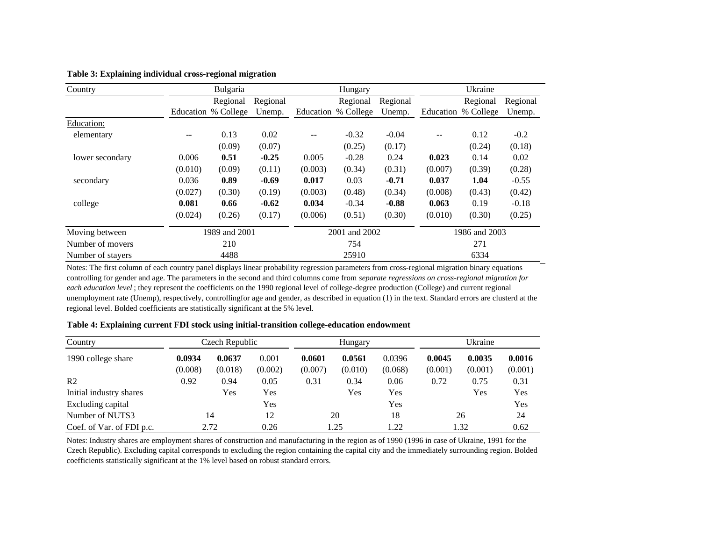| Country           |         | Bulgaria            |          |         | Hungary             |          |         | Ukraine             |          |
|-------------------|---------|---------------------|----------|---------|---------------------|----------|---------|---------------------|----------|
|                   |         | Regional            | Regional |         | Regional            | Regional |         | Regional            | Regional |
|                   |         | Education % College | Unemp.   |         | Education % College | Unemp.   |         | Education % College | Unemp.   |
| Education:        |         |                     |          |         |                     |          |         |                     |          |
| elementary        | $- -$   | 0.13                | 0.02     | --      | $-0.32$             | $-0.04$  | --      | 0.12                | $-0.2$   |
|                   |         | (0.09)              | (0.07)   |         | (0.25)              | (0.17)   |         | (0.24)              | (0.18)   |
| lower secondary   | 0.006   | 0.51                | $-0.25$  | 0.005   | $-0.28$             | 0.24     | 0.023   | 0.14                | 0.02     |
|                   | (0.010) | (0.09)              | (0.11)   | (0.003) | (0.34)              | (0.31)   | (0.007) | (0.39)              | (0.28)   |
| secondary         | 0.036   | 0.89                | $-0.69$  | 0.017   | 0.03                | $-0.71$  | 0.037   | 1.04                | $-0.55$  |
|                   | (0.027) | (0.30)              | (0.19)   | (0.003) | (0.48)              | (0.34)   | (0.008) | (0.43)              | (0.42)   |
| college           | 0.081   | 0.66                | $-0.62$  | 0.034   | $-0.34$             | $-0.88$  | 0.063   | 0.19                | $-0.18$  |
|                   | (0.024) | (0.26)              | (0.17)   | (0.006) | (0.51)              | (0.30)   | (0.010) | (0.30)              | (0.25)   |
| Moving between    |         | 1989 and 2001       |          |         | 2001 and 2002       |          |         | 1986 and 2003       |          |
| Number of movers  |         | 210                 |          |         | 754                 |          |         | 271                 |          |
| Number of stayers |         | 4488                |          |         | 25910               |          |         | 6334                |          |

#### **Table 3: Explaining individual cross-regional migration**

Notes: The first column of each country panel displays linear probability regression parameters from cross-regional migration binary equations controlling for gender and age. The parameters in the second and third columns come from *separate regressions on cross-regional migration for each education level* ; they represent the coefficients on the 1990 regional level of college-degree production (College) and current regional unemployment rate (Unemp), respectively, controllingfor age and gender, as described in equation (1) in the text. Standard errors are clusterd at the regional level. Bolded coefficients are statistically significant at the 5% level.

#### **Table 4: Explaining current FDI stock using initial-transition college-education endowment**

| Country                   |                   | Czech Republic    |                  |                   | Hungary           |                   |                   | Ukraine           |                   |
|---------------------------|-------------------|-------------------|------------------|-------------------|-------------------|-------------------|-------------------|-------------------|-------------------|
| 1990 college share        | 0.0934<br>(0.008) | 0.0637<br>(0.018) | 0.001<br>(0.002) | 0.0601<br>(0.007) | 0.0561<br>(0.010) | 0.0396<br>(0.068) | 0.0045<br>(0.001) | 0.0035<br>(0.001) | 0.0016<br>(0.001) |
| R <sub>2</sub>            | 0.92              | 0.94              | 0.05             | 0.31              | 0.34              | 0.06              | 0.72              | 0.75              | 0.31              |
| Initial industry shares   |                   | Yes               | Yes              |                   | Yes               | Yes               |                   | Yes               | <b>Yes</b>        |
| Excluding capital         |                   |                   | Yes              |                   |                   | Yes               |                   |                   | Yes               |
| Number of NUTS3           |                   | 14                | 12               |                   | 20                | 18                |                   | 26                | 24                |
| Coef. of Var. of FDI p.c. |                   | 2.72              | 0.26             |                   | 1.25              | 1.22              |                   | 1.32              | 0.62              |

Notes: Industry shares are employment shares of construction and manufacturing in the region as of 1990 (1996 in case of Ukraine, 1991 for the Czech Republic). Excluding capital corresponds to excluding the region containing the capital city and the immediately surrounding region. Bolded coefficients statistically significant at the 1% level based on robust standard errors.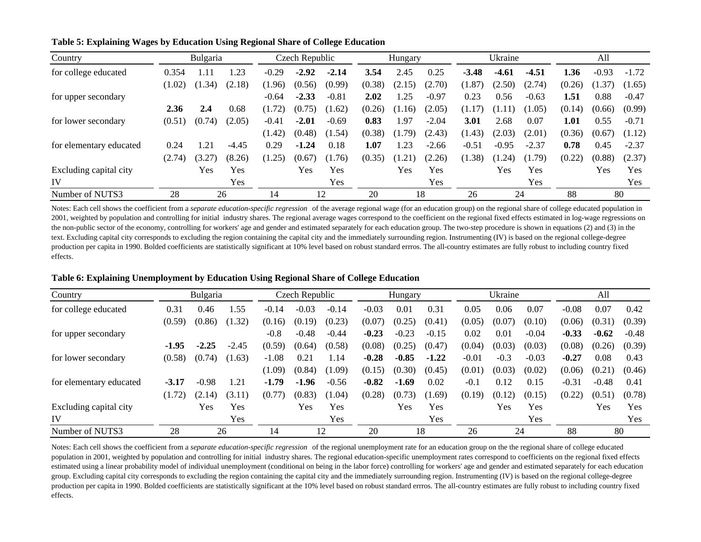| Country                 |        | Bulgaria |         |         | Czech Republic |         |        | Hungary |         |         | Ukraine |         |        | All     |         |
|-------------------------|--------|----------|---------|---------|----------------|---------|--------|---------|---------|---------|---------|---------|--------|---------|---------|
| for college educated    | 0.354  |          | 1.23    | $-0.29$ | $-2.92$        | $-2.14$ | 3.54   | 2.45    | 0.25    | $-3.48$ | -4.61   | $-4.51$ | 1.36   | $-0.93$ | $-1.72$ |
|                         | (1.02) | (1.34)   | (2.18)  | (1.96)  | (0.56)         | (0.99)  | (0.38) | (2.15)  | (2.70)  | (1.87)  | (2.50)  | (2.74)  | (0.26) | (1.37)  | (1.65)  |
| for upper secondary     |        |          |         | $-0.64$ | $-2.33$        | $-0.81$ | 2.02   | .25     | $-0.97$ | 0.23    | 0.56    | $-0.63$ | 1.51   | 0.88    | $-0.47$ |
|                         | 2.36   | 2.4      | 0.68    | (1.72)  | (0.75)         | (1.62)  | (0.26) | (1.16)  | (2.05)  | (1.17)  | (1.11)  | (1.05)  | (0.14) | (0.66)  | (0.99)  |
| for lower secondary     | (0.51) | (0.74)   | (2.05)  | $-0.41$ | $-2.01$        | $-0.69$ | 0.83   | .97     | $-2.04$ | 3.01    | 2.68    | 0.07    | 1.01   | 0.55    | $-0.71$ |
|                         |        |          |         | (1.42)  | (0.48)         | (1.54)  | (0.38) | (1.79)  | (2.43)  | (1.43)  | (2.03)  | (2.01)  | (0.36) | (0.67)  | (1.12)  |
| for elementary educated | 0.24   | 1.21     | $-4.45$ | 0.29    | $-1.24$        | 0.18    | 1.07   | .23     | $-2.66$ | $-0.51$ | $-0.95$ | $-2.37$ | 0.78   | 0.45    | $-2.37$ |
|                         | (2.74) | (3.27)   | (8.26)  | (1.25)  | (0.67)         | (1.76)  | (0.35) | (1.21)  | (2.26)  | (1.38)  | (1.24)  | (1.79)  | (0.22) | (0.88)  | (2.37)  |
| Excluding capital city  |        | Yes      | Yes     |         | Yes            | Yes     |        | Yes     | Yes     |         | Yes     | Yes     |        | Yes     | Yes     |
| IV                      |        |          | Yes     |         |                | Yes     |        |         | Yes     |         |         | Yes     |        |         | Yes     |
| Number of NUTS3         | 28     |          | 26      | 14      |                | 12      | 20     |         | 18      | 26      |         | 24      | 88     |         | 80      |

**Table 5: Explaining Wages by Education Using Regional Share of College Education**

Notes: Each cell shows the coefficient from a *separate education-specific regression* of the average regional wage (for an education group) on the regional share of college educated population in 2001, weighted by population and controlling for initial industry shares. The regional average wages correspond to the coefficient on the regional fixed effects estimated in log-wage regressions on the non-public sector of the economy, controlling for workers' age and gender and estimated separately for each education group. The two-step procedure is shown in equations (2) and (3) in the text. Excluding capital city corresponds to excluding the region containing the capital city and the immediately surrounding region. Instrumenting (IV) is based on the regional college-degree production per capita in 1990. Bolded coefficients are statistically significant at 10% level based on robust standard errros. The all-country estimates are fully robust to including country fixed effects.

#### **Table 6: Explaining Unemployment by Education Using Regional Share of College Education**

| Country                 |         | Bulgaria |         |         | Czech Republic |         |         | Hungary |         |         | Ukraine |         |         | All     |         |
|-------------------------|---------|----------|---------|---------|----------------|---------|---------|---------|---------|---------|---------|---------|---------|---------|---------|
| for college educated    | 0.31    | 0.46     | 1.55    | $-0.14$ | $-0.03$        | $-0.14$ | $-0.03$ | 0.01    | 0.31    | 0.05    | 0.06    | 0.07    | $-0.08$ | 0.07    | 0.42    |
|                         | (0.59)  | (0.86)   | (1.32)  | (0.16)  | (0.19)         | (0.23)  | (0.07)  | (0.25)  | (0.41)  | (0.05)  | (0.07)  | (0.10)  | (0.06)  | (0.31)  | (0.39)  |
| for upper secondary     |         |          |         | $-0.8$  | $-0.48$        | $-0.44$ | $-0.23$ | $-0.23$ | $-0.15$ | 0.02    | 0.01    | $-0.04$ | $-0.33$ | $-0.62$ | $-0.48$ |
|                         | $-1.95$ | $-2.25$  | $-2.45$ | (0.59)  | (0.64)         | (0.58)  | (0.08)  | (0.25)  | (0.47)  | (0.04)  | (0.03)  | (0.03)  | (0.08)  | (0.26)  | (0.39)  |
| for lower secondary     | (0.58)  | (0.74)   | (1.63)  | $-1.08$ | 0.21           | 1.14    | $-0.28$ | $-0.85$ | $-1.22$ | $-0.01$ | $-0.3$  | $-0.03$ | $-0.27$ | 0.08    | 0.43    |
|                         |         |          |         | (1.09)  | (0.84)         | (1.09)  | (0.15)  | (0.30)  | (0.45)  | (0.01)  | (0.03)  | (0.02)  | (0.06)  | (0.21)  | (0.46)  |
| for elementary educated | $-3.17$ | $-0.98$  | 1.21    | $-1.79$ | $-1.96$        | $-0.56$ | $-0.82$ | $-1.69$ | 0.02    | $-0.1$  | 0.12    | 0.15    | $-0.31$ | $-0.48$ | 0.41    |
|                         | (1.72)  | (2.14)   | (3.11)  | (0.77)  | (0.83)         | (1.04)  | (0.28)  | (0.73)  | (1.69)  | (0.19)  | (0.12)  | (0.15)  | (0.22)  | (0.51)  | (0.78)  |
| Excluding capital city  |         | Yes      | Yes     |         | Yes            | Yes     |         | Yes     | Yes     |         | Yes     | Yes     |         | Yes     | Yes     |
| IV                      |         |          | Yes     |         |                | Yes     |         |         | Yes     |         |         | Yes     |         |         | Yes     |
| Number of NUTS3         | 28      |          | 26      | 14      |                | 12      | 20      |         | 18      | 26      |         | 24      | 88      |         | 80      |

Notes: Each cell shows the coefficient from a *separate education-specific regression* of the regional unemployment rate for an education group on the the regional share of college educated population in 2001, weighted by population and controlling for initial industry shares. The regional education-specific unemployment rates correspond to coefficients on the regional fixed effects estimated using a linear probability model of individual unemployment (conditional on being in the labor force) controlling for workers' age and gender and estimated separately for each education group. Excluding capital city corresponds to excluding the region containing the capital city and the immediately surrounding region. Instrumenting (IV) is based on the regional college-degree production per capita in 1990. Bolded coefficients are statistically significant at the 10% level based on robust standard errros. The all-country estimates are fully robust to including country fixed effects.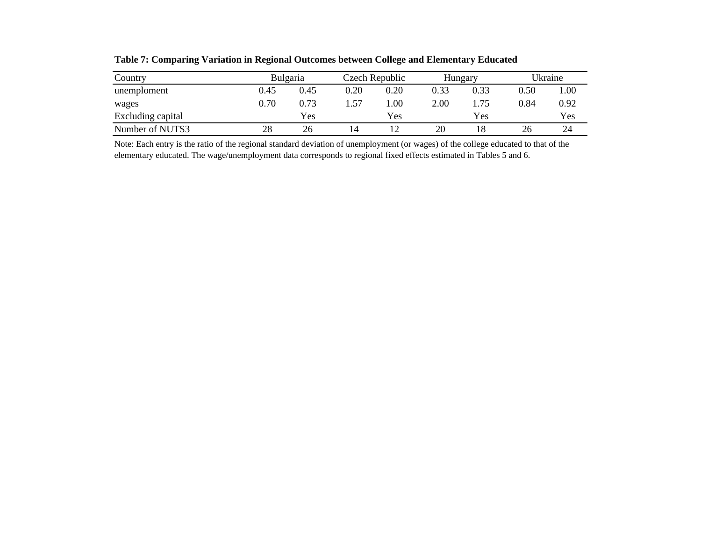| Country           |      | Bulgaria | Czech Republic |      |      | Hungary | Ukraine |      |  |
|-------------------|------|----------|----------------|------|------|---------|---------|------|--|
| unemploment       | 0.45 | 0.45     | 0.20           | 0.20 | 0.33 | 0.33    | 0.50    | 00.1 |  |
| wages             | 0.70 | 0.73     | . .57          | .00. | 2.00 | .75     | 0.84    | 0.92 |  |
| Excluding capital |      | Yes      |                | Yes  |      | Yes     |         | Yes  |  |
| Number of NUTS3   | 28   | 26       | 14             |      | 20   | 18      | 26      | 24   |  |

**Table 7: Comparing Variation in Regional Outcomes between College and Elementary Educated**

Note: Each entry is the ratio of the regional standard deviation of unemployment (or wages) of the college educated to that of the elementary educated. The wage/unemployment data corresponds to regional fixed effects estimated in Tables 5 and 6.